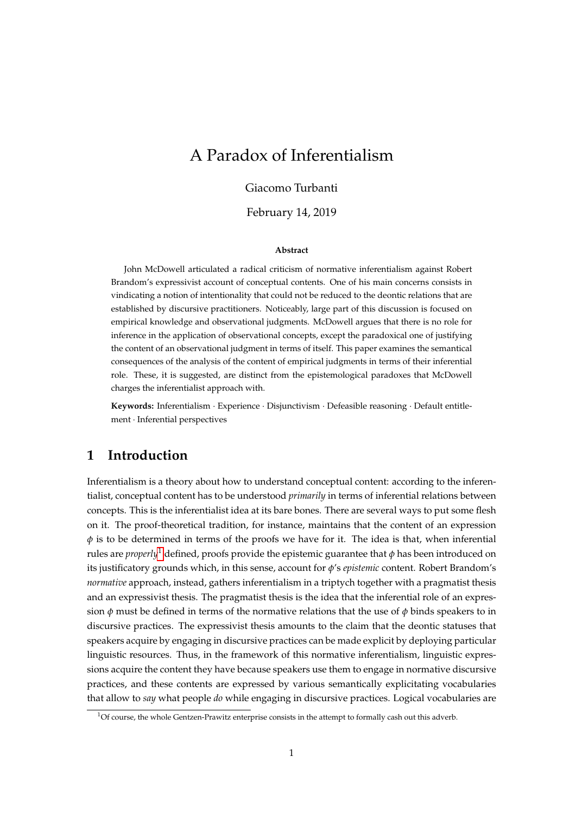# <span id="page-0-0"></span>A Paradox of Inferentialism

#### Giacomo Turbanti

February 14, 2019

#### **Abstract**

John McDowell articulated a radical criticism of normative inferentialism against Robert Brandom's expressivist account of conceptual contents. One of his main concerns consists in vindicating a notion of intentionality that could not be reduced to the deontic relations that are established by discursive practitioners. Noticeably, large part of this discussion is focused on empirical knowledge and observational judgments. McDowell argues that there is no role for inference in the application of observational concepts, except the paradoxical one of justifying the content of an observational judgment in terms of itself. This paper examines the semantical consequences of the analysis of the content of empirical judgments in terms of their inferential role. These, it is suggested, are distinct from the epistemological paradoxes that McDowell charges the inferentialist approach with.

**Keywords:** Inferentialism · Experience · Disjunctivism · Defeasible reasoning · Default entitlement · Inferential perspectives

### **1 Introduction**

Inferentialism is a theory about how to understand conceptual content: according to the inferentialist, conceptual content has to be understood *primarily* in terms of inferential relations between concepts. This is the inferentialist idea at its bare bones. There are several ways to put some flesh on it. The proof-theoretical tradition, for instance, maintains that the content of an expression *φ* is to be determined in terms of the proofs we have for it. The idea is that, when inferential rules are *properly*<sup>1</sup> defined, proofs provide the epistemic guarantee that  $\phi$  has been introduced on its justificatory grounds which, in this sense, account for *φ*'s *epistemic* content. Robert Brandom's *normative* approach, instead, gathers inferentialism in a triptych together with a pragmatist thesis and an expressivist thesis. The pragmatist thesis is the idea that the inferential role of an expression  $\phi$  must be defined in terms of the normative relations that the use of  $\phi$  binds speakers to in discursive practices. The expressivist thesis amounts to the claim that the deontic statuses that speakers acquire by engaging in discursive practices can be made explicit by deploying particular linguistic resources. Thus, in the framework of this normative inferentialism, linguistic expressions acquire the content they have because speakers use them to engage in normative discursive practices, and these contents are expressed by various semantically explicitating vocabularies that allow to *say* what people *do* while engaging in discursive practices. Logical vocabularies are

 $1$ Of course, the whole Gentzen-Prawitz enterprise consists in the attempt to formally cash out this adverb.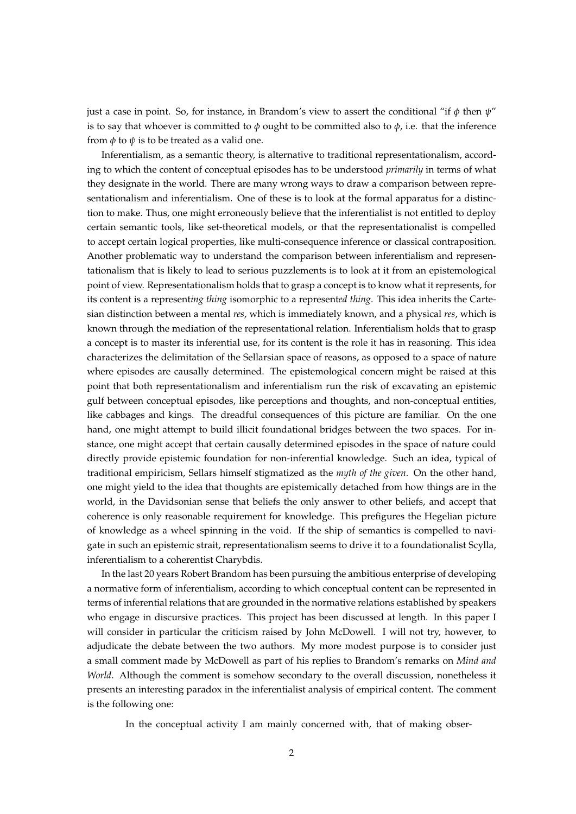just a case in point. So, for instance, in Brandom's view to assert the conditional "if *φ* then *ψ*" is to say that whoever is committed to  $\phi$  ought to be committed also to  $\phi$ , i.e. that the inference from  $\phi$  to  $\psi$  is to be treated as a valid one.

Inferentialism, as a semantic theory, is alternative to traditional representationalism, according to which the content of conceptual episodes has to be understood *primarily* in terms of what they designate in the world. There are many wrong ways to draw a comparison between representationalism and inferentialism. One of these is to look at the formal apparatus for a distinction to make. Thus, one might erroneously believe that the inferentialist is not entitled to deploy certain semantic tools, like set-theoretical models, or that the representationalist is compelled to accept certain logical properties, like multi-consequence inference or classical contraposition. Another problematic way to understand the comparison between inferentialism and representationalism that is likely to lead to serious puzzlements is to look at it from an epistemological point of view. Representationalism holds that to grasp a concept is to know what it represents, for its content is a represent*ing thing* isomorphic to a represent*ed thing*. This idea inherits the Cartesian distinction between a mental *res*, which is immediately known, and a physical *res*, which is known through the mediation of the representational relation. Inferentialism holds that to grasp a concept is to master its inferential use, for its content is the role it has in reasoning. This idea characterizes the delimitation of the Sellarsian space of reasons, as opposed to a space of nature where episodes are causally determined. The epistemological concern might be raised at this point that both representationalism and inferentialism run the risk of excavating an epistemic gulf between conceptual episodes, like perceptions and thoughts, and non-conceptual entities, like cabbages and kings. The dreadful consequences of this picture are familiar. On the one hand, one might attempt to build illicit foundational bridges between the two spaces. For instance, one might accept that certain causally determined episodes in the space of nature could directly provide epistemic foundation for non-inferential knowledge. Such an idea, typical of traditional empiricism, Sellars himself stigmatized as the *myth of the given*. On the other hand, one might yield to the idea that thoughts are epistemically detached from how things are in the world, in the Davidsonian sense that beliefs the only answer to other beliefs, and accept that coherence is only reasonable requirement for knowledge. This prefigures the Hegelian picture of knowledge as a wheel spinning in the void. If the ship of semantics is compelled to navigate in such an epistemic strait, representationalism seems to drive it to a foundationalist Scylla, inferentialism to a coherentist Charybdis.

In the last 20 years Robert Brandom has been pursuing the ambitious enterprise of developing a normative form of inferentialism, according to which conceptual content can be represented in terms of inferential relations that are grounded in the normative relations established by speakers who engage in discursive practices. This project has been discussed at length. In this paper I will consider in particular the criticism raised by John McDowell. I will not try, however, to adjudicate the debate between the two authors. My more modest purpose is to consider just a small comment made by McDowell as part of his replies to Brandom's remarks on *Mind and World*. Although the comment is somehow secondary to the overall discussion, nonetheless it presents an interesting paradox in the inferentialist analysis of empirical content. The comment is the following one:

In the conceptual activity I am mainly concerned with, that of making obser-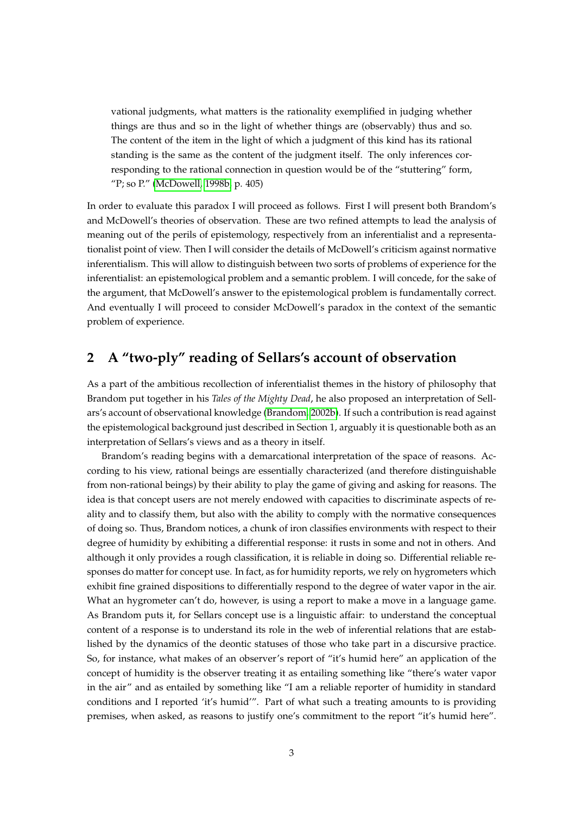vational judgments, what matters is the rationality exemplified in judging whether things are thus and so in the light of whether things are (observably) thus and so. The content of the item in the light of which a judgment of this kind has its rational standing is the same as the content of the judgment itself. The only inferences corresponding to the rational connection in question would be of the "stuttering" form, "P; so P." [\(McDowell, 1998b,](#page-23-0) p. 405)

In order to evaluate this paradox I will proceed as follows. First I will present both Brandom's and McDowell's theories of observation. These are two refined attempts to lead the analysis of meaning out of the perils of epistemology, respectively from an inferentialist and a representationalist point of view. Then I will consider the details of McDowell's criticism against normative inferentialism. This will allow to distinguish between two sorts of problems of experience for the inferentialist: an epistemological problem and a semantic problem. I will concede, for the sake of the argument, that McDowell's answer to the epistemological problem is fundamentally correct. And eventually I will proceed to consider McDowell's paradox in the context of the semantic problem of experience.

## **2 A "two-ply" reading of Sellars's account of observation**

As a part of the ambitious recollection of inferentialist themes in the history of philosophy that Brandom put together in his *Tales of the Mighty Dead*, he also proposed an interpretation of Sellars's account of observational knowledge [\(Brandom, 2002b\)](#page-22-0). If such a contribution is read against the epistemological background just described in Section 1, arguably it is questionable both as an interpretation of Sellars's views and as a theory in itself.

Brandom's reading begins with a demarcational interpretation of the space of reasons. According to his view, rational beings are essentially characterized (and therefore distinguishable from non-rational beings) by their ability to play the game of giving and asking for reasons. The idea is that concept users are not merely endowed with capacities to discriminate aspects of reality and to classify them, but also with the ability to comply with the normative consequences of doing so. Thus, Brandom notices, a chunk of iron classifies environments with respect to their degree of humidity by exhibiting a differential response: it rusts in some and not in others. And although it only provides a rough classification, it is reliable in doing so. Differential reliable responses do matter for concept use. In fact, as for humidity reports, we rely on hygrometers which exhibit fine grained dispositions to differentially respond to the degree of water vapor in the air. What an hygrometer can't do, however, is using a report to make a move in a language game. As Brandom puts it, for Sellars concept use is a linguistic affair: to understand the conceptual content of a response is to understand its role in the web of inferential relations that are established by the dynamics of the deontic statuses of those who take part in a discursive practice. So, for instance, what makes of an observer's report of "it's humid here" an application of the concept of humidity is the observer treating it as entailing something like "there's water vapor in the air" and as entailed by something like "I am a reliable reporter of humidity in standard conditions and I reported 'it's humid'". Part of what such a treating amounts to is providing premises, when asked, as reasons to justify one's commitment to the report "it's humid here".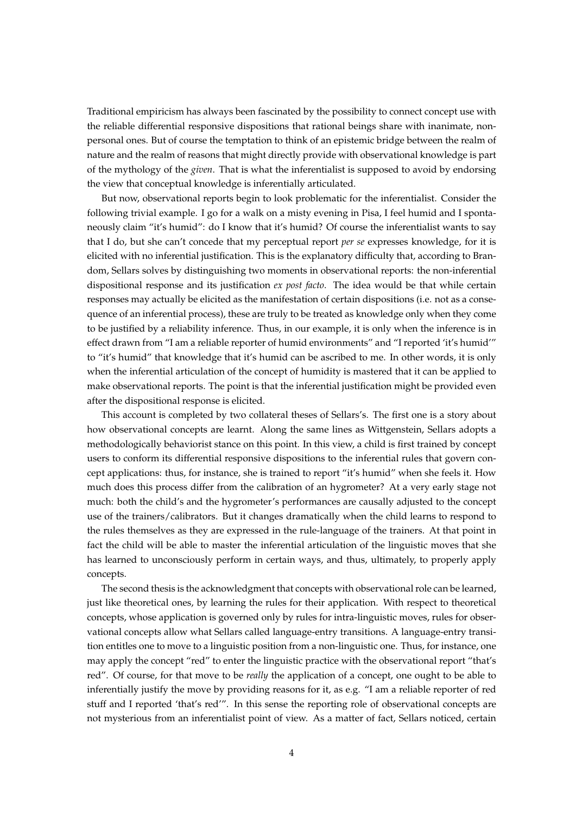Traditional empiricism has always been fascinated by the possibility to connect concept use with the reliable differential responsive dispositions that rational beings share with inanimate, nonpersonal ones. But of course the temptation to think of an epistemic bridge between the realm of nature and the realm of reasons that might directly provide with observational knowledge is part of the mythology of the *given*. That is what the inferentialist is supposed to avoid by endorsing the view that conceptual knowledge is inferentially articulated.

But now, observational reports begin to look problematic for the inferentialist. Consider the following trivial example. I go for a walk on a misty evening in Pisa, I feel humid and I spontaneously claim "it's humid": do I know that it's humid? Of course the inferentialist wants to say that I do, but she can't concede that my perceptual report *per se* expresses knowledge, for it is elicited with no inferential justification. This is the explanatory difficulty that, according to Brandom, Sellars solves by distinguishing two moments in observational reports: the non-inferential dispositional response and its justification *ex post facto*. The idea would be that while certain responses may actually be elicited as the manifestation of certain dispositions (i.e. not as a consequence of an inferential process), these are truly to be treated as knowledge only when they come to be justified by a reliability inference. Thus, in our example, it is only when the inference is in effect drawn from "I am a reliable reporter of humid environments" and "I reported 'it's humid'" to "it's humid" that knowledge that it's humid can be ascribed to me. In other words, it is only when the inferential articulation of the concept of humidity is mastered that it can be applied to make observational reports. The point is that the inferential justification might be provided even after the dispositional response is elicited.

This account is completed by two collateral theses of Sellars's. The first one is a story about how observational concepts are learnt. Along the same lines as Wittgenstein, Sellars adopts a methodologically behaviorist stance on this point. In this view, a child is first trained by concept users to conform its differential responsive dispositions to the inferential rules that govern concept applications: thus, for instance, she is trained to report "it's humid" when she feels it. How much does this process differ from the calibration of an hygrometer? At a very early stage not much: both the child's and the hygrometer's performances are causally adjusted to the concept use of the trainers/calibrators. But it changes dramatically when the child learns to respond to the rules themselves as they are expressed in the rule-language of the trainers. At that point in fact the child will be able to master the inferential articulation of the linguistic moves that she has learned to unconsciously perform in certain ways, and thus, ultimately, to properly apply concepts.

The second thesis is the acknowledgment that concepts with observational role can be learned, just like theoretical ones, by learning the rules for their application. With respect to theoretical concepts, whose application is governed only by rules for intra-linguistic moves, rules for observational concepts allow what Sellars called language-entry transitions. A language-entry transition entitles one to move to a linguistic position from a non-linguistic one. Thus, for instance, one may apply the concept "red" to enter the linguistic practice with the observational report "that's red". Of course, for that move to be *really* the application of a concept, one ought to be able to inferentially justify the move by providing reasons for it, as e.g. "I am a reliable reporter of red stuff and I reported 'that's red'". In this sense the reporting role of observational concepts are not mysterious from an inferentialist point of view. As a matter of fact, Sellars noticed, certain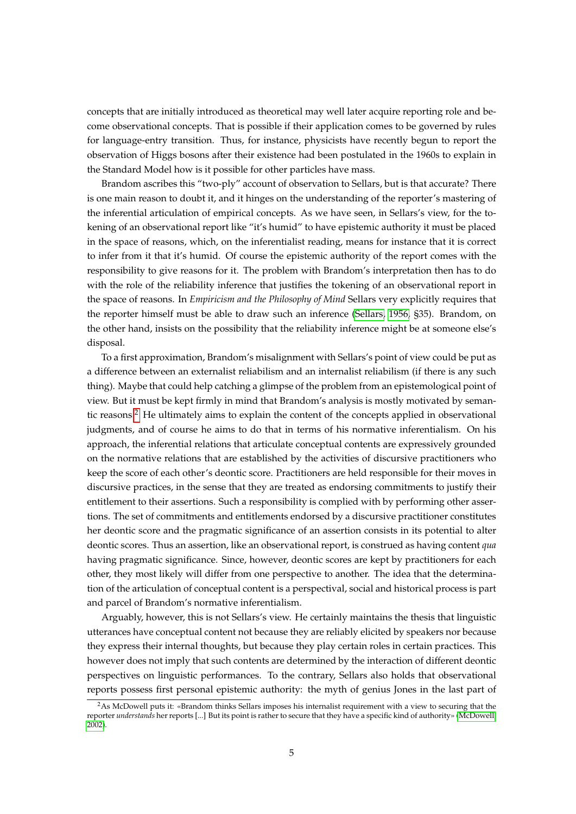concepts that are initially introduced as theoretical may well later acquire reporting role and become observational concepts. That is possible if their application comes to be governed by rules for language-entry transition. Thus, for instance, physicists have recently begun to report the observation of Higgs bosons after their existence had been postulated in the 1960s to explain in the Standard Model how is it possible for other particles have mass.

Brandom ascribes this "two-ply" account of observation to Sellars, but is that accurate? There is one main reason to doubt it, and it hinges on the understanding of the reporter's mastering of the inferential articulation of empirical concepts. As we have seen, in Sellars's view, for the tokening of an observational report like "it's humid" to have epistemic authority it must be placed in the space of reasons, which, on the inferentialist reading, means for instance that it is correct to infer from it that it's humid. Of course the epistemic authority of the report comes with the responsibility to give reasons for it. The problem with Brandom's interpretation then has to do with the role of the reliability inference that justifies the tokening of an observational report in the space of reasons. In *Empiricism and the Philosophy of Mind* Sellars very explicitly requires that the reporter himself must be able to draw such an inference [\(Sellars, 1956,](#page-24-0) §35). Brandom, on the other hand, insists on the possibility that the reliability inference might be at someone else's disposal.

To a first approximation, Brandom's misalignment with Sellars's point of view could be put as a difference between an externalist reliabilism and an internalist reliabilism (if there is any such thing). Maybe that could help catching a glimpse of the problem from an epistemological point of view. But it must be kept firmly in mind that Brandom's analysis is mostly motivated by semantic reasons.[2](#page-0-0) He ultimately aims to explain the content of the concepts applied in observational judgments, and of course he aims to do that in terms of his normative inferentialism. On his approach, the inferential relations that articulate conceptual contents are expressively grounded on the normative relations that are established by the activities of discursive practitioners who keep the score of each other's deontic score. Practitioners are held responsible for their moves in discursive practices, in the sense that they are treated as endorsing commitments to justify their entitlement to their assertions. Such a responsibility is complied with by performing other assertions. The set of commitments and entitlements endorsed by a discursive practitioner constitutes her deontic score and the pragmatic significance of an assertion consists in its potential to alter deontic scores. Thus an assertion, like an observational report, is construed as having content *qua* having pragmatic significance. Since, however, deontic scores are kept by practitioners for each other, they most likely will differ from one perspective to another. The idea that the determination of the articulation of conceptual content is a perspectival, social and historical process is part and parcel of Brandom's normative inferentialism.

Arguably, however, this is not Sellars's view. He certainly maintains the thesis that linguistic utterances have conceptual content not because they are reliably elicited by speakers nor because they express their internal thoughts, but because they play certain roles in certain practices. This however does not imply that such contents are determined by the interaction of different deontic perspectives on linguistic performances. To the contrary, Sellars also holds that observational reports possess first personal epistemic authority: the myth of genius Jones in the last part of

<sup>&</sup>lt;sup>2</sup>As McDowell puts it: «Brandom thinks Sellars imposes his internalist requirement with a view to securing that the reporter *understands* her reports [...] But its point is rather to secure that they have a specific kind of authority» [\(McDowell,](#page-23-1) [2002\)](#page-23-1).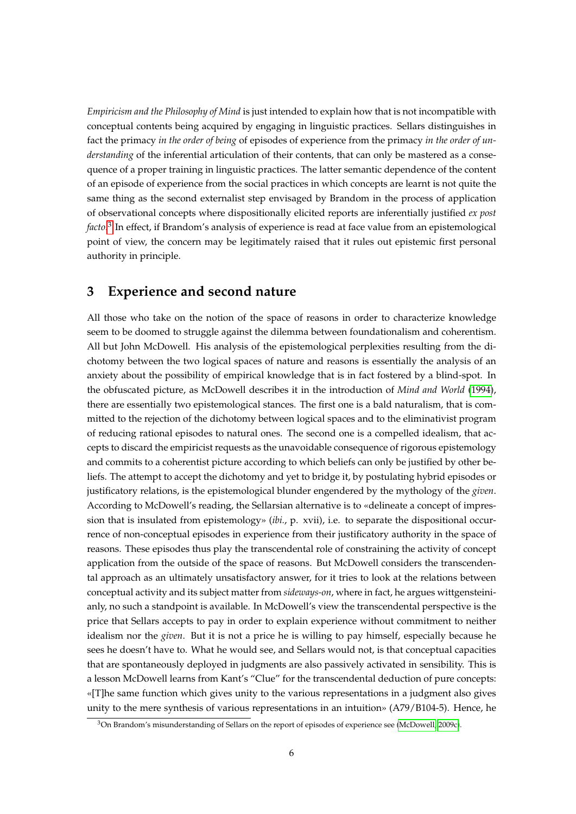*Empiricism and the Philosophy of Mind* is just intended to explain how that is not incompatible with conceptual contents being acquired by engaging in linguistic practices. Sellars distinguishes in fact the primacy *in the order of being* of episodes of experience from the primacy *in the order of understanding* of the inferential articulation of their contents, that can only be mastered as a consequence of a proper training in linguistic practices. The latter semantic dependence of the content of an episode of experience from the social practices in which concepts are learnt is not quite the same thing as the second externalist step envisaged by Brandom in the process of application of observational concepts where dispositionally elicited reports are inferentially justified *ex post facto*. [3](#page-0-0) In effect, if Brandom's analysis of experience is read at face value from an epistemological point of view, the concern may be legitimately raised that it rules out epistemic first personal authority in principle.

### **3 Experience and second nature**

All those who take on the notion of the space of reasons in order to characterize knowledge seem to be doomed to struggle against the dilemma between foundationalism and coherentism. All but John McDowell. His analysis of the epistemological perplexities resulting from the dichotomy between the two logical spaces of nature and reasons is essentially the analysis of an anxiety about the possibility of empirical knowledge that is in fact fostered by a blind-spot. In the obfuscated picture, as McDowell describes it in the introduction of *Mind and World* [\(1994\)](#page-23-2), there are essentially two epistemological stances. The first one is a bald naturalism, that is committed to the rejection of the dichotomy between logical spaces and to the eliminativist program of reducing rational episodes to natural ones. The second one is a compelled idealism, that accepts to discard the empiricist requests as the unavoidable consequence of rigorous epistemology and commits to a coherentist picture according to which beliefs can only be justified by other beliefs. The attempt to accept the dichotomy and yet to bridge it, by postulating hybrid episodes or justificatory relations, is the epistemological blunder engendered by the mythology of the *given*. According to McDowell's reading, the Sellarsian alternative is to «delineate a concept of impression that is insulated from epistemology» (*ibi.*, p. xvii), i.e. to separate the dispositional occurrence of non-conceptual episodes in experience from their justificatory authority in the space of reasons. These episodes thus play the transcendental role of constraining the activity of concept application from the outside of the space of reasons. But McDowell considers the transcendental approach as an ultimately unsatisfactory answer, for it tries to look at the relations between conceptual activity and its subject matter from *sideways-on*, where in fact, he argues wittgensteinianly, no such a standpoint is available. In McDowell's view the transcendental perspective is the price that Sellars accepts to pay in order to explain experience without commitment to neither idealism nor the *given*. But it is not a price he is willing to pay himself, especially because he sees he doesn't have to. What he would see, and Sellars would not, is that conceptual capacities that are spontaneously deployed in judgments are also passively activated in sensibility. This is a lesson McDowell learns from Kant's "Clue" for the transcendental deduction of pure concepts: «[T]he same function which gives unity to the various representations in a judgment also gives unity to the mere synthesis of various representations in an intuition» (A79/B104-5). Hence, he

<sup>3</sup>On Brandom's misunderstanding of Sellars on the report of episodes of experience see [\(McDowell, 2009c\)](#page-23-3).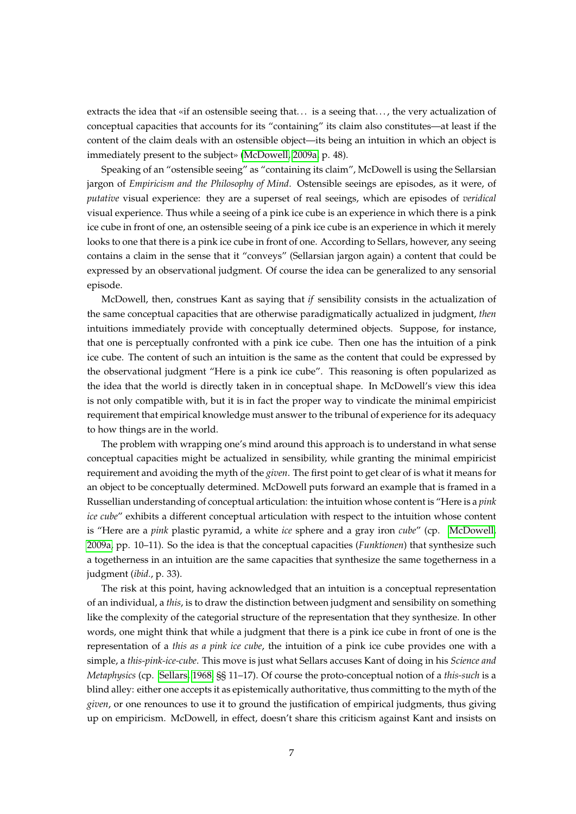extracts the idea that «if an ostensible seeing that... is a seeing that..., the very actualization of conceptual capacities that accounts for its "containing" its claim also constitutes—at least if the content of the claim deals with an ostensible object—its being an intuition in which an object is immediately present to the subject» [\(McDowell, 2009a,](#page-23-4) p. 48).

Speaking of an "ostensible seeing" as "containing its claim", McDowell is using the Sellarsian jargon of *Empiricism and the Philosophy of Mind*. Ostensible seeings are episodes, as it were, of *putative* visual experience: they are a superset of real seeings, which are episodes of *veridical* visual experience. Thus while a seeing of a pink ice cube is an experience in which there is a pink ice cube in front of one, an ostensible seeing of a pink ice cube is an experience in which it merely looks to one that there is a pink ice cube in front of one. According to Sellars, however, any seeing contains a claim in the sense that it "conveys" (Sellarsian jargon again) a content that could be expressed by an observational judgment. Of course the idea can be generalized to any sensorial episode.

McDowell, then, construes Kant as saying that *if* sensibility consists in the actualization of the same conceptual capacities that are otherwise paradigmatically actualized in judgment, *then* intuitions immediately provide with conceptually determined objects. Suppose, for instance, that one is perceptually confronted with a pink ice cube. Then one has the intuition of a pink ice cube. The content of such an intuition is the same as the content that could be expressed by the observational judgment "Here is a pink ice cube". This reasoning is often popularized as the idea that the world is directly taken in in conceptual shape. In McDowell's view this idea is not only compatible with, but it is in fact the proper way to vindicate the minimal empiricist requirement that empirical knowledge must answer to the tribunal of experience for its adequacy to how things are in the world.

The problem with wrapping one's mind around this approach is to understand in what sense conceptual capacities might be actualized in sensibility, while granting the minimal empiricist requirement and avoiding the myth of the *given*. The first point to get clear of is what it means for an object to be conceptually determined. McDowell puts forward an example that is framed in a Russellian understanding of conceptual articulation: the intuition whose content is "Here is a *pink ice cube*" exhibits a different conceptual articulation with respect to the intuition whose content is "Here are a *pink* plastic pyramid, a white *ice* sphere and a gray iron *cube*" (cp. [McDowell,](#page-23-4) [2009a,](#page-23-4) pp. 10–11). So the idea is that the conceptual capacities (*Funktionen*) that synthesize such a togetherness in an intuition are the same capacities that synthesize the same togetherness in a judgment (*ibid.*, p. 33).

The risk at this point, having acknowledged that an intuition is a conceptual representation of an individual, a *this*, is to draw the distinction between judgment and sensibility on something like the complexity of the categorial structure of the representation that they synthesize. In other words, one might think that while a judgment that there is a pink ice cube in front of one is the representation of a *this as a pink ice cube*, the intuition of a pink ice cube provides one with a simple, a *this-pink-ice-cube*. This move is just what Sellars accuses Kant of doing in his *Science and Metaphysics* (cp. [Sellars, 1968,](#page-24-1) §§ 11–17). Of course the proto-conceptual notion of a *this-such* is a blind alley: either one accepts it as epistemically authoritative, thus committing to the myth of the *given*, or one renounces to use it to ground the justification of empirical judgments, thus giving up on empiricism. McDowell, in effect, doesn't share this criticism against Kant and insists on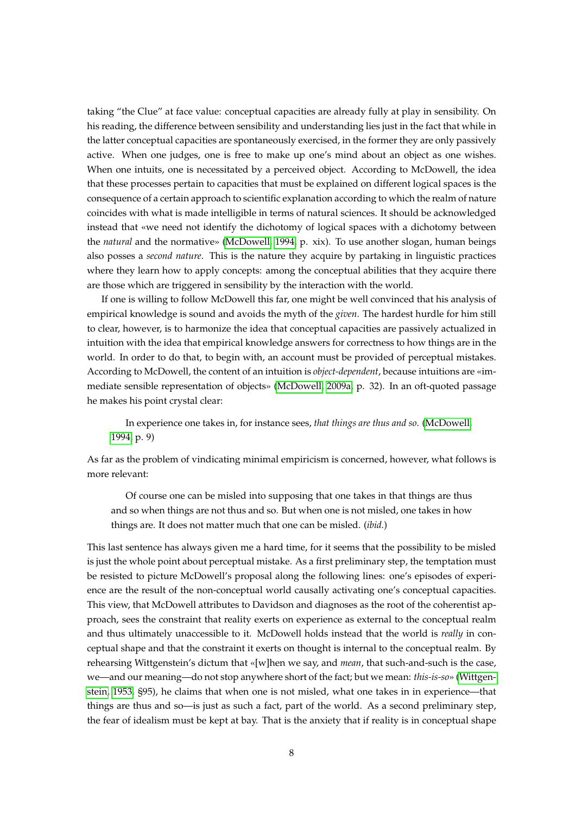taking "the Clue" at face value: conceptual capacities are already fully at play in sensibility. On his reading, the difference between sensibility and understanding lies just in the fact that while in the latter conceptual capacities are spontaneously exercised, in the former they are only passively active. When one judges, one is free to make up one's mind about an object as one wishes. When one intuits, one is necessitated by a perceived object. According to McDowell, the idea that these processes pertain to capacities that must be explained on different logical spaces is the consequence of a certain approach to scientific explanation according to which the realm of nature coincides with what is made intelligible in terms of natural sciences. It should be acknowledged instead that «we need not identify the dichotomy of logical spaces with a dichotomy between the *natural* and the normative» [\(McDowell, 1994,](#page-23-2) p. xix). To use another slogan, human beings also posses a *second nature*. This is the nature they acquire by partaking in linguistic practices where they learn how to apply concepts: among the conceptual abilities that they acquire there are those which are triggered in sensibility by the interaction with the world.

If one is willing to follow McDowell this far, one might be well convinced that his analysis of empirical knowledge is sound and avoids the myth of the *given*. The hardest hurdle for him still to clear, however, is to harmonize the idea that conceptual capacities are passively actualized in intuition with the idea that empirical knowledge answers for correctness to how things are in the world. In order to do that, to begin with, an account must be provided of perceptual mistakes. According to McDowell, the content of an intuition is *object-dependent*, because intuitions are «immediate sensible representation of objects» [\(McDowell, 2009a,](#page-23-4) p. 32). In an oft-quoted passage he makes his point crystal clear:

In experience one takes in, for instance sees, *that things are thus and so*. [\(McDowell,](#page-23-2) [1994,](#page-23-2) p. 9)

As far as the problem of vindicating minimal empiricism is concerned, however, what follows is more relevant:

Of course one can be misled into supposing that one takes in that things are thus and so when things are not thus and so. But when one is not misled, one takes in how things are. It does not matter much that one can be misled. (*ibid.*)

This last sentence has always given me a hard time, for it seems that the possibility to be misled is just the whole point about perceptual mistake. As a first preliminary step, the temptation must be resisted to picture McDowell's proposal along the following lines: one's episodes of experience are the result of the non-conceptual world causally activating one's conceptual capacities. This view, that McDowell attributes to Davidson and diagnoses as the root of the coherentist approach, sees the constraint that reality exerts on experience as external to the conceptual realm and thus ultimately unaccessible to it. McDowell holds instead that the world is *really* in conceptual shape and that the constraint it exerts on thought is internal to the conceptual realm. By rehearsing Wittgenstein's dictum that «[w]hen we say, and *mean*, that such-and-such is the case, we—and our meaning—do not stop anywhere short of the fact; but we mean: *this-is-so*» [\(Wittgen](#page-24-2)[stein, 1953,](#page-24-2) §95), he claims that when one is not misled, what one takes in in experience—that things are thus and so—is just as such a fact, part of the world. As a second preliminary step, the fear of idealism must be kept at bay. That is the anxiety that if reality is in conceptual shape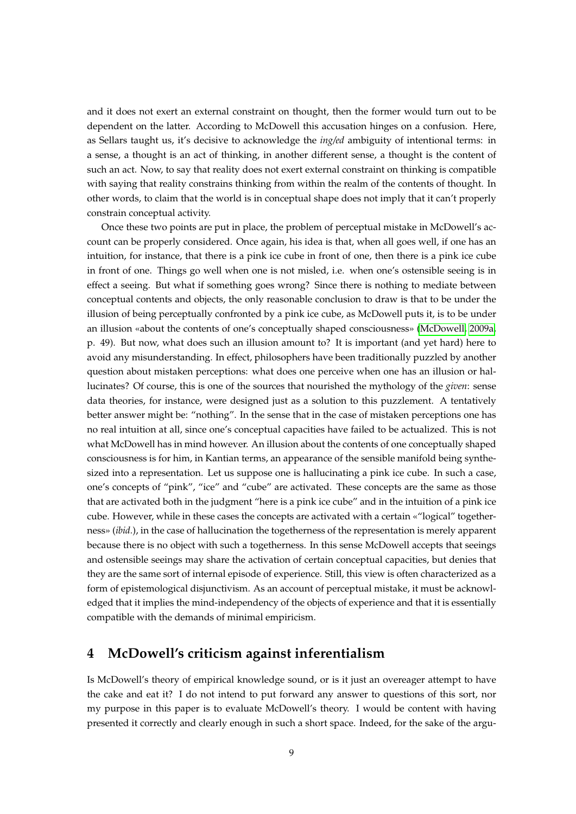and it does not exert an external constraint on thought, then the former would turn out to be dependent on the latter. According to McDowell this accusation hinges on a confusion. Here, as Sellars taught us, it's decisive to acknowledge the *ing/ed* ambiguity of intentional terms: in a sense, a thought is an act of thinking, in another different sense, a thought is the content of such an act. Now, to say that reality does not exert external constraint on thinking is compatible with saying that reality constrains thinking from within the realm of the contents of thought. In other words, to claim that the world is in conceptual shape does not imply that it can't properly constrain conceptual activity.

Once these two points are put in place, the problem of perceptual mistake in McDowell's account can be properly considered. Once again, his idea is that, when all goes well, if one has an intuition, for instance, that there is a pink ice cube in front of one, then there is a pink ice cube in front of one. Things go well when one is not misled, i.e. when one's ostensible seeing is in effect a seeing. But what if something goes wrong? Since there is nothing to mediate between conceptual contents and objects, the only reasonable conclusion to draw is that to be under the illusion of being perceptually confronted by a pink ice cube, as McDowell puts it, is to be under an illusion «about the contents of one's conceptually shaped consciousness» [\(McDowell, 2009a,](#page-23-4) p. 49). But now, what does such an illusion amount to? It is important (and yet hard) here to avoid any misunderstanding. In effect, philosophers have been traditionally puzzled by another question about mistaken perceptions: what does one perceive when one has an illusion or hallucinates? Of course, this is one of the sources that nourished the mythology of the *given*: sense data theories, for instance, were designed just as a solution to this puzzlement. A tentatively better answer might be: "nothing". In the sense that in the case of mistaken perceptions one has no real intuition at all, since one's conceptual capacities have failed to be actualized. This is not what McDowell has in mind however. An illusion about the contents of one conceptually shaped consciousness is for him, in Kantian terms, an appearance of the sensible manifold being synthesized into a representation. Let us suppose one is hallucinating a pink ice cube. In such a case, one's concepts of "pink", "ice" and "cube" are activated. These concepts are the same as those that are activated both in the judgment "here is a pink ice cube" and in the intuition of a pink ice cube. However, while in these cases the concepts are activated with a certain «"logical" togetherness» (*ibid.*), in the case of hallucination the togetherness of the representation is merely apparent because there is no object with such a togetherness. In this sense McDowell accepts that seeings and ostensible seeings may share the activation of certain conceptual capacities, but denies that they are the same sort of internal episode of experience. Still, this view is often characterized as a form of epistemological disjunctivism. As an account of perceptual mistake, it must be acknowledged that it implies the mind-independency of the objects of experience and that it is essentially compatible with the demands of minimal empiricism.

### **4 McDowell's criticism against inferentialism**

Is McDowell's theory of empirical knowledge sound, or is it just an overeager attempt to have the cake and eat it? I do not intend to put forward any answer to questions of this sort, nor my purpose in this paper is to evaluate McDowell's theory. I would be content with having presented it correctly and clearly enough in such a short space. Indeed, for the sake of the argu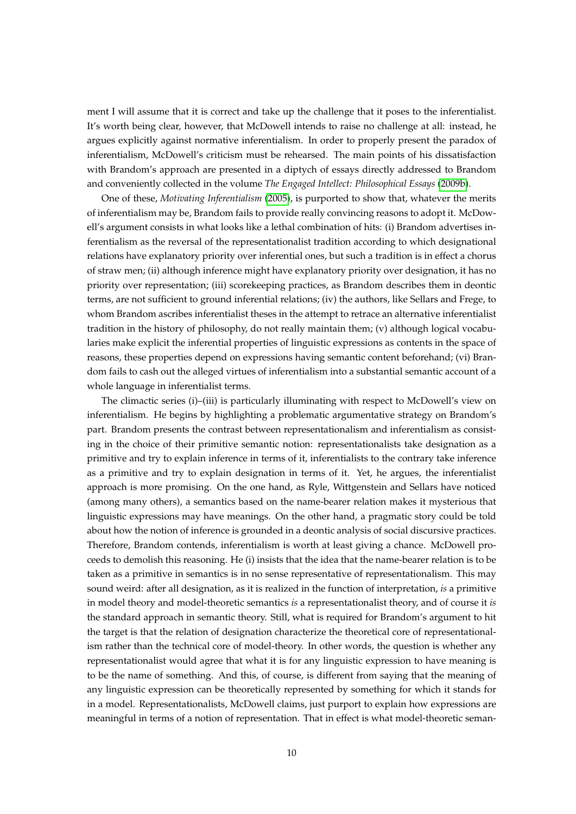ment I will assume that it is correct and take up the challenge that it poses to the inferentialist. It's worth being clear, however, that McDowell intends to raise no challenge at all: instead, he argues explicitly against normative inferentialism. In order to properly present the paradox of inferentialism, McDowell's criticism must be rehearsed. The main points of his dissatisfaction with Brandom's approach are presented in a diptych of essays directly addressed to Brandom and conveniently collected in the volume *The Engaged Intellect: Philosophical Essays* [\(2009b\)](#page-23-5).

One of these, *Motivating Inferentialism* [\(2005\)](#page-23-6), is purported to show that, whatever the merits of inferentialism may be, Brandom fails to provide really convincing reasons to adopt it. McDowell's argument consists in what looks like a lethal combination of hits: (i) Brandom advertises inferentialism as the reversal of the representationalist tradition according to which designational relations have explanatory priority over inferential ones, but such a tradition is in effect a chorus of straw men; (ii) although inference might have explanatory priority over designation, it has no priority over representation; (iii) scorekeeping practices, as Brandom describes them in deontic terms, are not sufficient to ground inferential relations; (iv) the authors, like Sellars and Frege, to whom Brandom ascribes inferentialist theses in the attempt to retrace an alternative inferentialist tradition in the history of philosophy, do not really maintain them; (v) although logical vocabularies make explicit the inferential properties of linguistic expressions as contents in the space of reasons, these properties depend on expressions having semantic content beforehand; (vi) Brandom fails to cash out the alleged virtues of inferentialism into a substantial semantic account of a whole language in inferentialist terms.

The climactic series (i)–(iii) is particularly illuminating with respect to McDowell's view on inferentialism. He begins by highlighting a problematic argumentative strategy on Brandom's part. Brandom presents the contrast between representationalism and inferentialism as consisting in the choice of their primitive semantic notion: representationalists take designation as a primitive and try to explain inference in terms of it, inferentialists to the contrary take inference as a primitive and try to explain designation in terms of it. Yet, he argues, the inferentialist approach is more promising. On the one hand, as Ryle, Wittgenstein and Sellars have noticed (among many others), a semantics based on the name-bearer relation makes it mysterious that linguistic expressions may have meanings. On the other hand, a pragmatic story could be told about how the notion of inference is grounded in a deontic analysis of social discursive practices. Therefore, Brandom contends, inferentialism is worth at least giving a chance. McDowell proceeds to demolish this reasoning. He (i) insists that the idea that the name-bearer relation is to be taken as a primitive in semantics is in no sense representative of representationalism. This may sound weird: after all designation, as it is realized in the function of interpretation, *is* a primitive in model theory and model-theoretic semantics *is* a representationalist theory, and of course it *is* the standard approach in semantic theory. Still, what is required for Brandom's argument to hit the target is that the relation of designation characterize the theoretical core of representationalism rather than the technical core of model-theory. In other words, the question is whether any representationalist would agree that what it is for any linguistic expression to have meaning is to be the name of something. And this, of course, is different from saying that the meaning of any linguistic expression can be theoretically represented by something for which it stands for in a model. Representationalists, McDowell claims, just purport to explain how expressions are meaningful in terms of a notion of representation. That in effect is what model-theoretic seman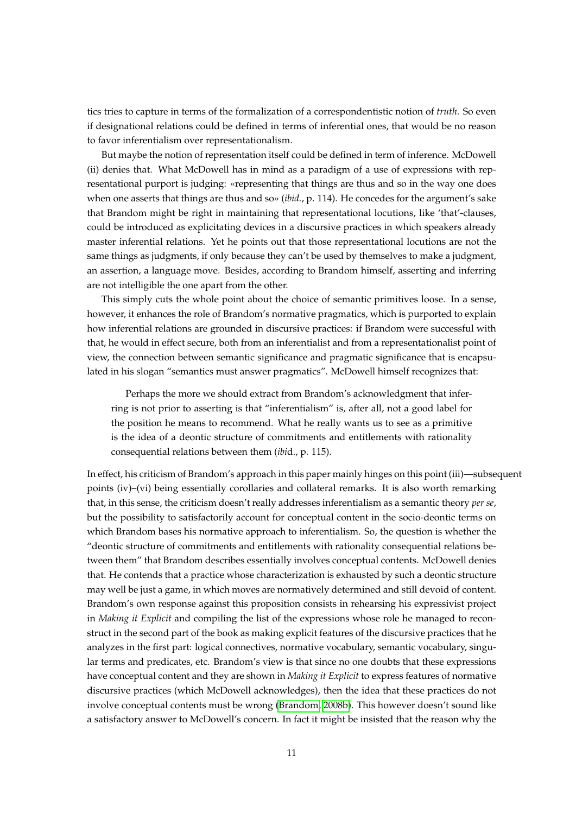tics tries to capture in terms of the formalization of a correspondentistic notion of *truth*. So even if designational relations could be defined in terms of inferential ones, that would be no reason to favor inferentialism over representationalism.

But maybe the notion of representation itself could be defined in term of inference. McDowell (ii) denies that. What McDowell has in mind as a paradigm of a use of expressions with representational purport is judging: «representing that things are thus and so in the way one does when one asserts that things are thus and so» (*ibid.*, p. 114). He concedes for the argument's sake that Brandom might be right in maintaining that representational locutions, like 'that'-clauses, could be introduced as explicitating devices in a discursive practices in which speakers already master inferential relations. Yet he points out that those representational locutions are not the same things as judgments, if only because they can't be used by themselves to make a judgment, an assertion, a language move. Besides, according to Brandom himself, asserting and inferring are not intelligible the one apart from the other.

This simply cuts the whole point about the choice of semantic primitives loose. In a sense, however, it enhances the role of Brandom's normative pragmatics, which is purported to explain how inferential relations are grounded in discursive practices: if Brandom were successful with that, he would in effect secure, both from an inferentialist and from a representationalist point of view, the connection between semantic significance and pragmatic significance that is encapsulated in his slogan "semantics must answer pragmatics". McDowell himself recognizes that:

Perhaps the more we should extract from Brandom's acknowledgment that inferring is not prior to asserting is that "inferentialism" is, after all, not a good label for the position he means to recommend. What he really wants us to see as a primitive is the idea of a deontic structure of commitments and entitlements with rationality consequential relations between them (*ibi*d., p. 115).

In effect, his criticism of Brandom's approach in this paper mainly hinges on this point (iii)—subsequent points (iv)–(vi) being essentially corollaries and collateral remarks. It is also worth remarking that, in this sense, the criticism doesn't really addresses inferentialism as a semantic theory *per se*, but the possibility to satisfactorily account for conceptual content in the socio-deontic terms on which Brandom bases his normative approach to inferentialism. So, the question is whether the "deontic structure of commitments and entitlements with rationality consequential relations between them" that Brandom describes essentially involves conceptual contents. McDowell denies that. He contends that a practice whose characterization is exhausted by such a deontic structure may well be just a game, in which moves are normatively determined and still devoid of content. Brandom's own response against this proposition consists in rehearsing his expressivist project in *Making it Explicit* and compiling the list of the expressions whose role he managed to reconstruct in the second part of the book as making explicit features of the discursive practices that he analyzes in the first part: logical connectives, normative vocabulary, semantic vocabulary, singular terms and predicates, etc. Brandom's view is that since no one doubts that these expressions have conceptual content and they are shown in *Making it Explicit* to express features of normative discursive practices (which McDowell acknowledges), then the idea that these practices do not involve conceptual contents must be wrong [\(Brandom, 2008b\)](#page-23-7). This however doesn't sound like a satisfactory answer to McDowell's concern. In fact it might be insisted that the reason why the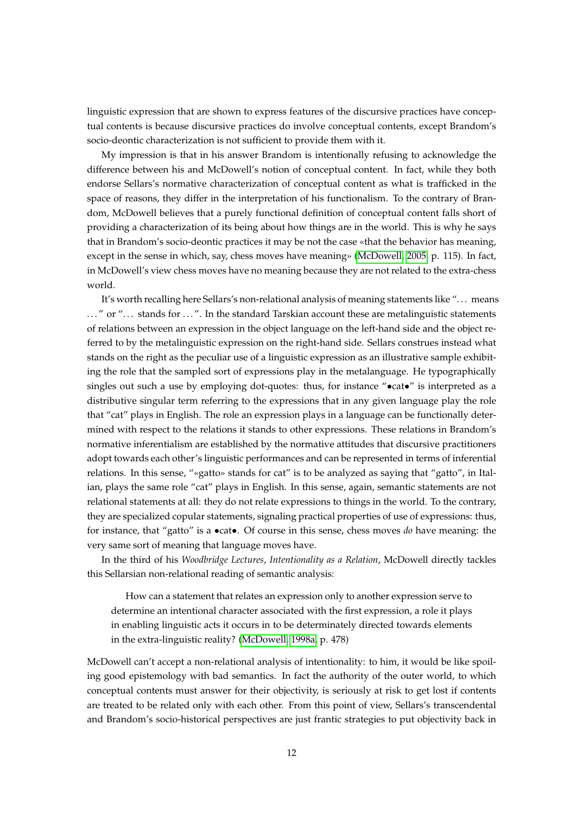linguistic expression that are shown to express features of the discursive practices have conceptual contents is because discursive practices do involve conceptual contents, except Brandom's socio-deontic characterization is not sufficient to provide them with it.

My impression is that in his answer Brandom is intentionally refusing to acknowledge the difference between his and McDowell's notion of conceptual content. In fact, while they both endorse Sellars's normative characterization of conceptual content as what is trafficked in the space of reasons, they differ in the interpretation of his functionalism. To the contrary of Brandom, McDowell believes that a purely functional definition of conceptual content falls short of providing a characterization of its being about how things are in the world. This is why he says that in Brandom's socio-deontic practices it may be not the case «that the behavior has meaning, except in the sense in which, say, chess moves have meaning» [\(McDowell, 2005,](#page-23-6) p. 115). In fact, in McDowell's view chess moves have no meaning because they are not related to the extra-chess world.

It's worth recalling here Sellars's non-relational analysis of meaning statements like ". . . means ..." or "... stands for ...". In the standard Tarskian account these are metalinguistic statements of relations between an expression in the object language on the left-hand side and the object referred to by the metalinguistic expression on the right-hand side. Sellars construes instead what stands on the right as the peculiar use of a linguistic expression as an illustrative sample exhibiting the role that the sampled sort of expressions play in the metalanguage. He typographically singles out such a use by employing dot-quotes: thus, for instance " $\bullet$ cat $\bullet$ " is interpreted as a distributive singular term referring to the expressions that in any given language play the role that "cat" plays in English. The role an expression plays in a language can be functionally determined with respect to the relations it stands to other expressions. These relations in Brandom's normative inferentialism are established by the normative attitudes that discursive practitioners adopt towards each other's linguistic performances and can be represented in terms of inferential relations. In this sense, "«gatto» stands for cat" is to be analyzed as saying that "gatto", in Italian, plays the same role "cat" plays in English. In this sense, again, semantic statements are not relational statements at all: they do not relate expressions to things in the world. To the contrary, they are specialized copular statements, signaling practical properties of use of expressions: thus, for instance, that "gatto" is a •cat•. Of course in this sense, chess moves *do* have meaning: the very same sort of meaning that language moves have.

In the third of his *Woodbridge Lectures*, *Intentionality as a Relation*, McDowell directly tackles this Sellarsian non-relational reading of semantic analysis:

How can a statement that relates an expression only to another expression serve to determine an intentional character associated with the first expression, a role it plays in enabling linguistic acts it occurs in to be determinately directed towards elements in the extra-linguistic reality? [\(McDowell, 1998a,](#page-23-8) p. 478)

McDowell can't accept a non-relational analysis of intentionality: to him, it would be like spoiling good epistemology with bad semantics. In fact the authority of the outer world, to which conceptual contents must answer for their objectivity, is seriously at risk to get lost if contents are treated to be related only with each other. From this point of view, Sellars's transcendental and Brandom's socio-historical perspectives are just frantic strategies to put objectivity back in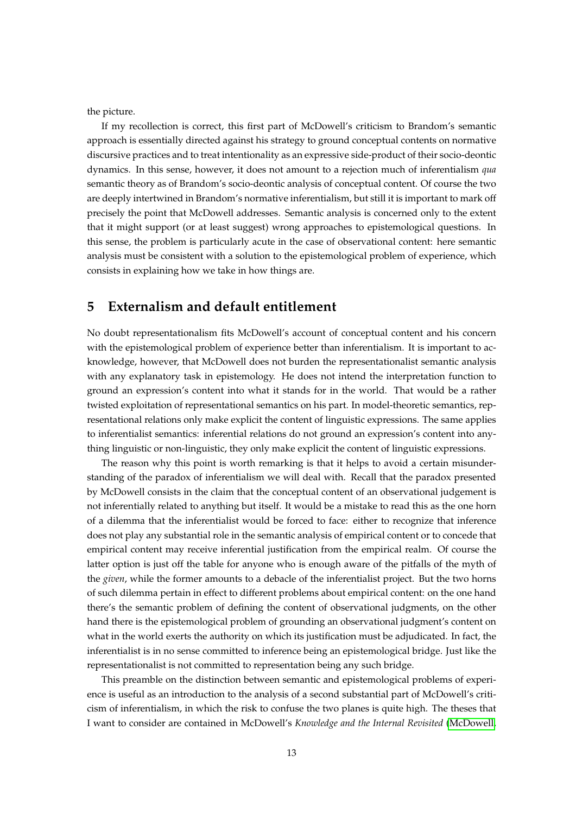the picture.

If my recollection is correct, this first part of McDowell's criticism to Brandom's semantic approach is essentially directed against his strategy to ground conceptual contents on normative discursive practices and to treat intentionality as an expressive side-product of their socio-deontic dynamics. In this sense, however, it does not amount to a rejection much of inferentialism *qua* semantic theory as of Brandom's socio-deontic analysis of conceptual content. Of course the two are deeply intertwined in Brandom's normative inferentialism, but still it is important to mark off precisely the point that McDowell addresses. Semantic analysis is concerned only to the extent that it might support (or at least suggest) wrong approaches to epistemological questions. In this sense, the problem is particularly acute in the case of observational content: here semantic analysis must be consistent with a solution to the epistemological problem of experience, which consists in explaining how we take in how things are.

#### **5 Externalism and default entitlement**

No doubt representationalism fits McDowell's account of conceptual content and his concern with the epistemological problem of experience better than inferentialism. It is important to acknowledge, however, that McDowell does not burden the representationalist semantic analysis with any explanatory task in epistemology. He does not intend the interpretation function to ground an expression's content into what it stands for in the world. That would be a rather twisted exploitation of representational semantics on his part. In model-theoretic semantics, representational relations only make explicit the content of linguistic expressions. The same applies to inferentialist semantics: inferential relations do not ground an expression's content into anything linguistic or non-linguistic, they only make explicit the content of linguistic expressions.

The reason why this point is worth remarking is that it helps to avoid a certain misunderstanding of the paradox of inferentialism we will deal with. Recall that the paradox presented by McDowell consists in the claim that the conceptual content of an observational judgement is not inferentially related to anything but itself. It would be a mistake to read this as the one horn of a dilemma that the inferentialist would be forced to face: either to recognize that inference does not play any substantial role in the semantic analysis of empirical content or to concede that empirical content may receive inferential justification from the empirical realm. Of course the latter option is just off the table for anyone who is enough aware of the pitfalls of the myth of the *given*, while the former amounts to a debacle of the inferentialist project. But the two horns of such dilemma pertain in effect to different problems about empirical content: on the one hand there's the semantic problem of defining the content of observational judgments, on the other hand there is the epistemological problem of grounding an observational judgment's content on what in the world exerts the authority on which its justification must be adjudicated. In fact, the inferentialist is in no sense committed to inference being an epistemological bridge. Just like the representationalist is not committed to representation being any such bridge.

This preamble on the distinction between semantic and epistemological problems of experience is useful as an introduction to the analysis of a second substantial part of McDowell's criticism of inferentialism, in which the risk to confuse the two planes is quite high. The theses that I want to consider are contained in McDowell's *Knowledge and the Internal Revisited* [\(McDowell,](#page-23-1)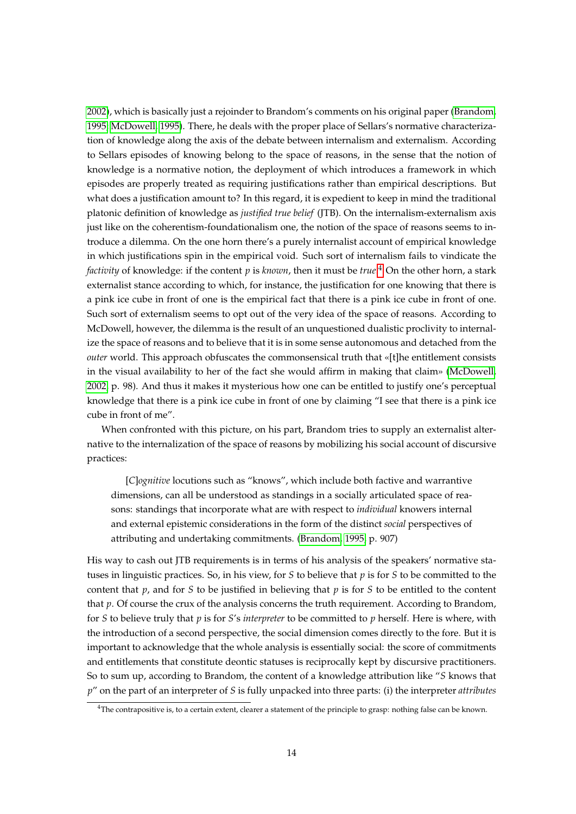[2002\)](#page-23-1), which is basically just a rejoinder to Brandom's comments on his original paper [\(Brandom,](#page-22-1) [1995;](#page-22-1) [McDowell, 1995\)](#page-23-9). There, he deals with the proper place of Sellars's normative characterization of knowledge along the axis of the debate between internalism and externalism. According to Sellars episodes of knowing belong to the space of reasons, in the sense that the notion of knowledge is a normative notion, the deployment of which introduces a framework in which episodes are properly treated as requiring justifications rather than empirical descriptions. But what does a justification amount to? In this regard, it is expedient to keep in mind the traditional platonic definition of knowledge as *justified true belief* (JTB). On the internalism-externalism axis just like on the coherentism-foundationalism one, the notion of the space of reasons seems to introduce a dilemma. On the one horn there's a purely internalist account of empirical knowledge in which justifications spin in the empirical void. Such sort of internalism fails to vindicate the *factivity* of knowledge: if the content *p* is *known*, then it must be *true*. [4](#page-0-0) On the other horn, a stark externalist stance according to which, for instance, the justification for one knowing that there is a pink ice cube in front of one is the empirical fact that there is a pink ice cube in front of one. Such sort of externalism seems to opt out of the very idea of the space of reasons. According to McDowell, however, the dilemma is the result of an unquestioned dualistic proclivity to internalize the space of reasons and to believe that it is in some sense autonomous and detached from the *outer* world. This approach obfuscates the commonsensical truth that «[t]he entitlement consists in the visual availability to her of the fact she would affirm in making that claim» [\(McDowell,](#page-23-1) [2002,](#page-23-1) p. 98). And thus it makes it mysterious how one can be entitled to justify one's perceptual knowledge that there is a pink ice cube in front of one by claiming "I see that there is a pink ice cube in front of me".

When confronted with this picture, on his part, Brandom tries to supply an externalist alternative to the internalization of the space of reasons by mobilizing his social account of discursive practices:

[*C*]*ognitive* locutions such as "knows", which include both factive and warrantive dimensions, can all be understood as standings in a socially articulated space of reasons: standings that incorporate what are with respect to *individual* knowers internal and external epistemic considerations in the form of the distinct *social* perspectives of attributing and undertaking commitments. [\(Brandom, 1995,](#page-22-1) p. 907)

His way to cash out JTB requirements is in terms of his analysis of the speakers' normative statuses in linguistic practices. So, in his view, for *S* to believe that *p* is for *S* to be committed to the content that *p*, and for *S* to be justified in believing that *p* is for *S* to be entitled to the content that *p*. Of course the crux of the analysis concerns the truth requirement. According to Brandom, for *S* to believe truly that *p* is for *S*'s *interpreter* to be committed to *p* herself. Here is where, with the introduction of a second perspective, the social dimension comes directly to the fore. But it is important to acknowledge that the whole analysis is essentially social: the score of commitments and entitlements that constitute deontic statuses is reciprocally kept by discursive practitioners. So to sum up, according to Brandom, the content of a knowledge attribution like "*S* knows that *p*" on the part of an interpreter of *S* is fully unpacked into three parts: (i) the interpreter *attributes*

<sup>&</sup>lt;sup>4</sup>The contrapositive is, to a certain extent, clearer a statement of the principle to grasp: nothing false can be known.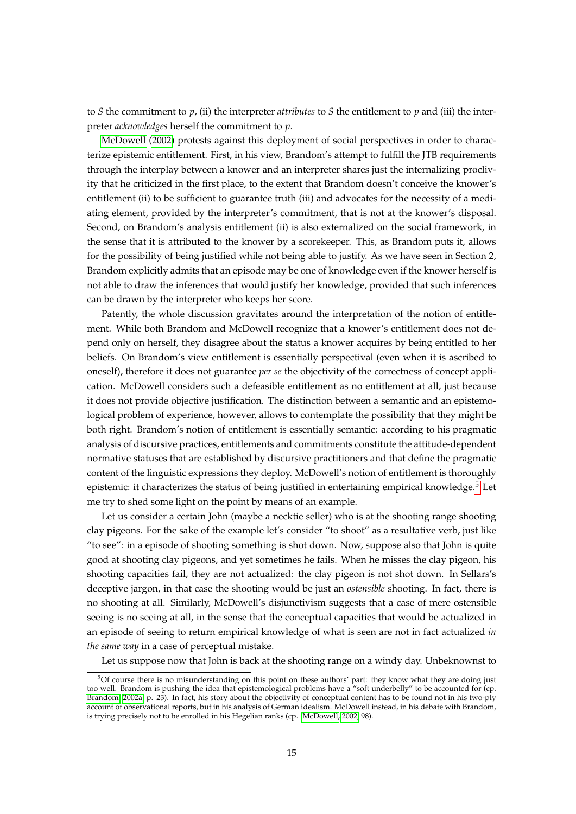to *S* the commitment to *p*, (ii) the interpreter *attributes* to *S* the entitlement to *p* and (iii) the interpreter *acknowledges* herself the commitment to *p*.

[McDowell](#page-23-1) [\(2002\)](#page-23-1) protests against this deployment of social perspectives in order to characterize epistemic entitlement. First, in his view, Brandom's attempt to fulfill the JTB requirements through the interplay between a knower and an interpreter shares just the internalizing proclivity that he criticized in the first place, to the extent that Brandom doesn't conceive the knower's entitlement (ii) to be sufficient to guarantee truth (iii) and advocates for the necessity of a mediating element, provided by the interpreter's commitment, that is not at the knower's disposal. Second, on Brandom's analysis entitlement (ii) is also externalized on the social framework, in the sense that it is attributed to the knower by a scorekeeper. This, as Brandom puts it, allows for the possibility of being justified while not being able to justify. As we have seen in Section 2, Brandom explicitly admits that an episode may be one of knowledge even if the knower herself is not able to draw the inferences that would justify her knowledge, provided that such inferences can be drawn by the interpreter who keeps her score.

Patently, the whole discussion gravitates around the interpretation of the notion of entitlement. While both Brandom and McDowell recognize that a knower's entitlement does not depend only on herself, they disagree about the status a knower acquires by being entitled to her beliefs. On Brandom's view entitlement is essentially perspectival (even when it is ascribed to oneself), therefore it does not guarantee *per se* the objectivity of the correctness of concept application. McDowell considers such a defeasible entitlement as no entitlement at all, just because it does not provide objective justification. The distinction between a semantic and an epistemological problem of experience, however, allows to contemplate the possibility that they might be both right. Brandom's notion of entitlement is essentially semantic: according to his pragmatic analysis of discursive practices, entitlements and commitments constitute the attitude-dependent normative statuses that are established by discursive practitioners and that define the pragmatic content of the linguistic expressions they deploy. McDowell's notion of entitlement is thoroughly epistemic: it characterizes the status of being justified in entertaining empirical knowledge. $5$  Let me try to shed some light on the point by means of an example.

Let us consider a certain John (maybe a necktie seller) who is at the shooting range shooting clay pigeons. For the sake of the example let's consider "to shoot" as a resultative verb, just like "to see": in a episode of shooting something is shot down. Now, suppose also that John is quite good at shooting clay pigeons, and yet sometimes he fails. When he misses the clay pigeon, his shooting capacities fail, they are not actualized: the clay pigeon is not shot down. In Sellars's deceptive jargon, in that case the shooting would be just an *ostensible* shooting. In fact, there is no shooting at all. Similarly, McDowell's disjunctivism suggests that a case of mere ostensible seeing is no seeing at all, in the sense that the conceptual capacities that would be actualized in an episode of seeing to return empirical knowledge of what is seen are not in fact actualized *in the same way* in a case of perceptual mistake.

Let us suppose now that John is back at the shooting range on a windy day. Unbeknownst to

<sup>5</sup>Of course there is no misunderstanding on this point on these authors' part: they know what they are doing just too well. Brandom is pushing the idea that epistemological problems have a "soft underbelly" to be accounted for (cp. [Brandom, 2002a,](#page-22-2) p. 23). In fact, his story about the objectivity of conceptual content has to be found not in his two-ply account of observational reports, but in his analysis of German idealism. McDowell instead, in his debate with Brandom, is trying precisely not to be enrolled in his Hegelian ranks (cp. [McDowell, 2002,](#page-23-1) 98).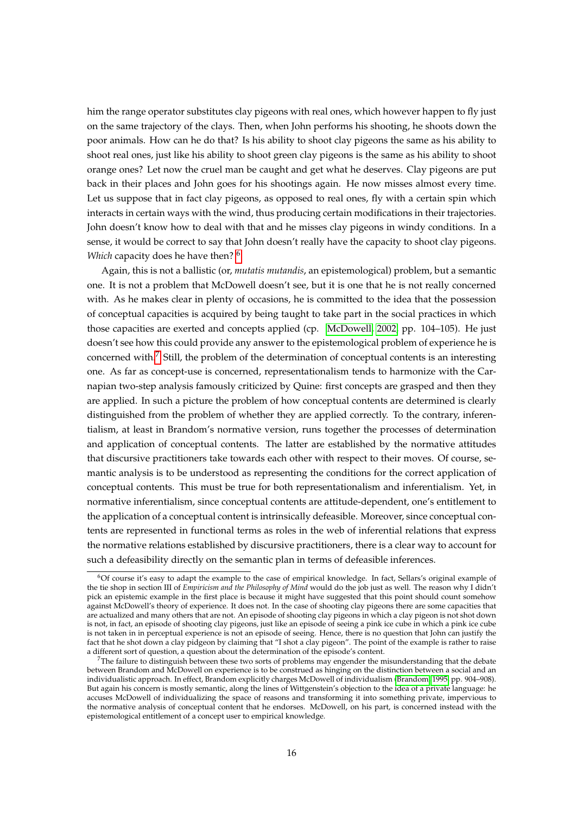him the range operator substitutes clay pigeons with real ones, which however happen to fly just on the same trajectory of the clays. Then, when John performs his shooting, he shoots down the poor animals. How can he do that? Is his ability to shoot clay pigeons the same as his ability to shoot real ones, just like his ability to shoot green clay pigeons is the same as his ability to shoot orange ones? Let now the cruel man be caught and get what he deserves. Clay pigeons are put back in their places and John goes for his shootings again. He now misses almost every time. Let us suppose that in fact clay pigeons, as opposed to real ones, fly with a certain spin which interacts in certain ways with the wind, thus producing certain modifications in their trajectories. John doesn't know how to deal with that and he misses clay pigeons in windy conditions. In a sense, it would be correct to say that John doesn't really have the capacity to shoot clay pigeons. *Which* capacity does he have then? [6](#page-0-0)

Again, this is not a ballistic (or, *mutatis mutandis*, an epistemological) problem, but a semantic one. It is not a problem that McDowell doesn't see, but it is one that he is not really concerned with. As he makes clear in plenty of occasions, he is committed to the idea that the possession of conceptual capacities is acquired by being taught to take part in the social practices in which those capacities are exerted and concepts applied (cp. [McDowell, 2002,](#page-23-1) pp. 104–105). He just doesn't see how this could provide any answer to the epistemological problem of experience he is concerned with.[7](#page-0-0) Still, the problem of the determination of conceptual contents is an interesting one. As far as concept-use is concerned, representationalism tends to harmonize with the Carnapian two-step analysis famously criticized by Quine: first concepts are grasped and then they are applied. In such a picture the problem of how conceptual contents are determined is clearly distinguished from the problem of whether they are applied correctly. To the contrary, inferentialism, at least in Brandom's normative version, runs together the processes of determination and application of conceptual contents. The latter are established by the normative attitudes that discursive practitioners take towards each other with respect to their moves. Of course, semantic analysis is to be understood as representing the conditions for the correct application of conceptual contents. This must be true for both representationalism and inferentialism. Yet, in normative inferentialism, since conceptual contents are attitude-dependent, one's entitlement to the application of a conceptual content is intrinsically defeasible. Moreover, since conceptual contents are represented in functional terms as roles in the web of inferential relations that express the normative relations established by discursive practitioners, there is a clear way to account for such a defeasibility directly on the semantic plan in terms of defeasible inferences.

<sup>6</sup>Of course it's easy to adapt the example to the case of empirical knowledge. In fact, Sellars's original example of the tie shop in section III of *Empiricism and the Philosophy of Mind* would do the job just as well. The reason why I didn't pick an epistemic example in the first place is because it might have suggested that this point should count somehow against McDowell's theory of experience. It does not. In the case of shooting clay pigeons there are some capacities that are actualized and many others that are not. An episode of shooting clay pigeons in which a clay pigeon is not shot down is not, in fact, an episode of shooting clay pigeons, just like an episode of seeing a pink ice cube in which a pink ice cube is not taken in in perceptual experience is not an episode of seeing. Hence, there is no question that John can justify the fact that he shot down a clay pidgeon by claiming that "I shot a clay pigeon". The point of the example is rather to raise a different sort of question, a question about the determination of the episode's content.

 $7$ The failure to distinguish between these two sorts of problems may engender the misunderstanding that the debate between Brandom and McDowell on experience is to be construed as hinging on the distinction between a social and an individualistic approach. In effect, Brandom explicitly charges McDowell of individualism [\(Brandom, 1995,](#page-22-1) pp. 904–908). But again his concern is mostly semantic, along the lines of Wittgenstein's objection to the idea of a private language: he accuses McDowell of individualizing the space of reasons and transforming it into something private, impervious to the normative analysis of conceptual content that he endorses. McDowell, on his part, is concerned instead with the epistemological entitlement of a concept user to empirical knowledge.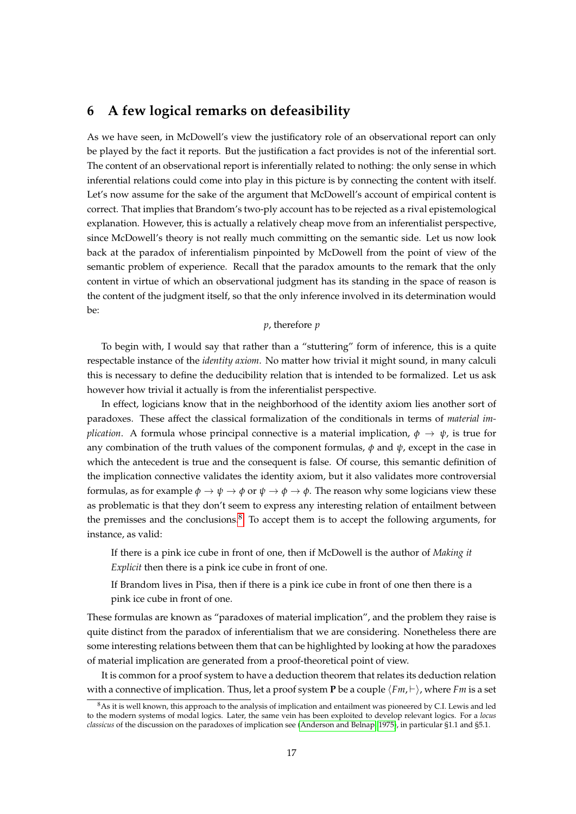### <span id="page-16-0"></span>**6 A few logical remarks on defeasibility**

As we have seen, in McDowell's view the justificatory role of an observational report can only be played by the fact it reports. But the justification a fact provides is not of the inferential sort. The content of an observational report is inferentially related to nothing: the only sense in which inferential relations could come into play in this picture is by connecting the content with itself. Let's now assume for the sake of the argument that McDowell's account of empirical content is correct. That implies that Brandom's two-ply account has to be rejected as a rival epistemological explanation. However, this is actually a relatively cheap move from an inferentialist perspective, since McDowell's theory is not really much committing on the semantic side. Let us now look back at the paradox of inferentialism pinpointed by McDowell from the point of view of the semantic problem of experience. Recall that the paradox amounts to the remark that the only content in virtue of which an observational judgment has its standing in the space of reason is the content of the judgment itself, so that the only inference involved in its determination would be:

#### *p*, therefore *p*

To begin with, I would say that rather than a "stuttering" form of inference, this is a quite respectable instance of the *identity axiom*. No matter how trivial it might sound, in many calculi this is necessary to define the deducibility relation that is intended to be formalized. Let us ask however how trivial it actually is from the inferentialist perspective.

In effect, logicians know that in the neighborhood of the identity axiom lies another sort of paradoxes. These affect the classical formalization of the conditionals in terms of *material implication.* A formula whose principal connective is a material implication,  $\phi \to \psi$ , is true for any combination of the truth values of the component formulas,  $\phi$  and  $\psi$ , except in the case in which the antecedent is true and the consequent is false. Of course, this semantic definition of the implication connective validates the identity axiom, but it also validates more controversial formulas, as for example  $\phi \to \psi \to \phi$  or  $\psi \to \phi \to \phi$ . The reason why some logicians view these as problematic is that they don't seem to express any interesting relation of entailment between the premisses and the conclusions.[8](#page-0-0) To accept them is to accept the following arguments, for instance, as valid:

If there is a pink ice cube in front of one, then if McDowell is the author of *Making it Explicit* then there is a pink ice cube in front of one.

If Brandom lives in Pisa, then if there is a pink ice cube in front of one then there is a pink ice cube in front of one.

These formulas are known as "paradoxes of material implication", and the problem they raise is quite distinct from the paradox of inferentialism that we are considering. Nonetheless there are some interesting relations between them that can be highlighted by looking at how the paradoxes of material implication are generated from a proof-theoretical point of view.

It is common for a proof system to have a deduction theorem that relates its deduction relation with a connective of implication. Thus, let a proof system **P** be a couple  $\langle Fm, \vdash \rangle$ , where *Fm* is a set

<sup>8</sup>As it is well known, this approach to the analysis of implication and entailment was pioneered by C.I. Lewis and led to the modern systems of modal logics. Later, the same vein has been exploited to develop relevant logics. For a *locus classicus* of the discussion on the paradoxes of implication see [\(Anderson and Belnap, 1975\)](#page-22-3), in particular §1.1 and §5.1.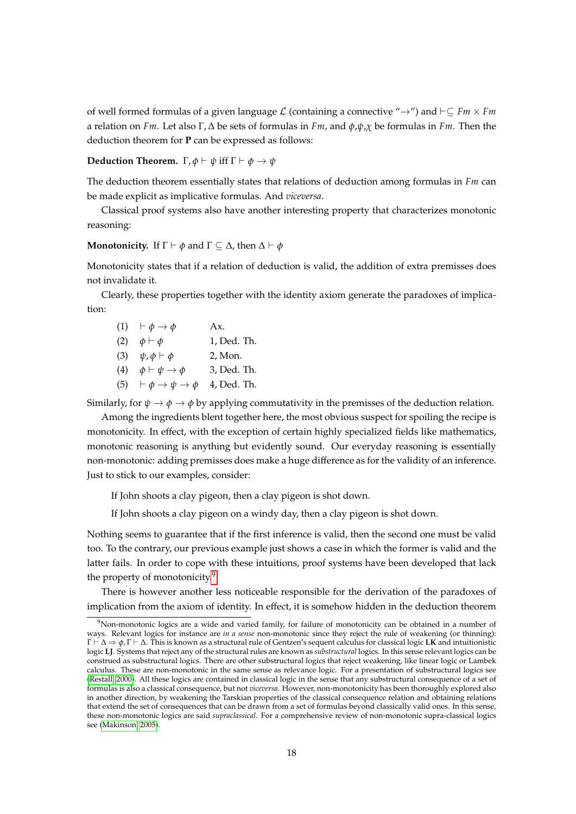of well formed formulas of a given language L (containing a connective "→") and `⊆ *Fm* × *Fm* a relation on *Fm*. Let also Γ, ∆ be sets of formulas in *Fm*, and *φ*,*ψ*,*χ* be formulas in *Fm*. Then the deduction theorem for **P** can be expressed as follows:

#### **Deduction Theorem.**  $\Gamma$ ,  $\phi \vdash \psi$  iff  $\Gamma \vdash \phi \rightarrow \psi$

The deduction theorem essentially states that relations of deduction among formulas in *Fm* can be made explicit as implicative formulas. And *viceversa*.

Classical proof systems also have another interesting property that characterizes monotonic reasoning:

#### **Monotonicity.** If  $\Gamma \vdash \phi$  and  $\Gamma \subseteq \Delta$ , then  $\Delta \vdash \phi$

Monotonicity states that if a relation of deduction is valid, the addition of extra premisses does not invalidate it.

Clearly, these properties together with the identity axiom generate the paradoxes of implication:

|     | $(1)$ $\vdash \phi \rightarrow \phi$                | Ax.         |
|-----|-----------------------------------------------------|-------------|
| (2) | $\phi \vdash \phi$                                  | 1, Ded. Th. |
|     | (3) $\psi, \phi \vdash \phi$                        | 2, Mon.     |
| (4) | $\phi \vdash \psi \rightarrow \phi$                 | 3, Ded. Th. |
|     | (5) $\vdash \phi \rightarrow \psi \rightarrow \phi$ | 4, Ded. Th. |

Similarly, for  $\psi \to \phi \to \phi$  by applying commutativity in the premisses of the deduction relation.

Among the ingredients blent together here, the most obvious suspect for spoiling the recipe is monotonicity. In effect, with the exception of certain highly specialized fields like mathematics, monotonic reasoning is anything but evidently sound. Our everyday reasoning is essentially non-monotonic: adding premisses does make a huge difference as for the validity of an inference. Just to stick to our examples, consider:

If John shoots a clay pigeon, then a clay pigeon is shot down.

If John shoots a clay pigeon on a windy day, then a clay pigeon is shot down.

Nothing seems to guarantee that if the first inference is valid, then the second one must be valid too. To the contrary, our previous example just shows a case in which the former is valid and the latter fails. In order to cope with these intuitions, proof systems have been developed that lack the property of monotonicity.<sup>[9](#page-0-0)</sup>

There is however another less noticeable responsible for the derivation of the paradoxes of implication from the axiom of identity. In effect, it is somehow hidden in the deduction theorem

 $9$ Non-monotonic logics are a wide and varied family, for failure of monotonicity can be obtained in a number of ways. Relevant logics for instance are *in a sense* non-monotonic since they reject the rule of weakening (or thinning): Γ ` ∆ ⇒ *φ*, Γ ` ∆. This is known as a structural rule of Gentzen's sequent calculus for classical logic **LK** and intuitionistic logic **LJ**. Systems that reject any of the structural rules are known as *substructural* logics. In this sense relevant logics can be construed as substructural logics. There are other substructural logics that reject weakening, like linear logic or Lambek calculus. These are non-monotonic in the same sense as relevance logic. For a presentation of substructural logics see [\(Restall, 2000\)](#page-23-10). All these logics are contained in classical logic in the sense that any substructural consequence of a set of formulas is also a classical consequence, but not *viceversa*. However, non-monotonicity has been thoroughly explored also in another direction, by weakening the Tarskian properties of the classical consequence relation and obtaining relations that extend the set of consequences that can be drawn from a set of formulas beyond classically valid ones. In this sense, these non-monotonic logics are said *supraclassical*. For a comprehensive review of non-monotonic supra-classical logics see [\(Makinson, 2005\)](#page-23-11).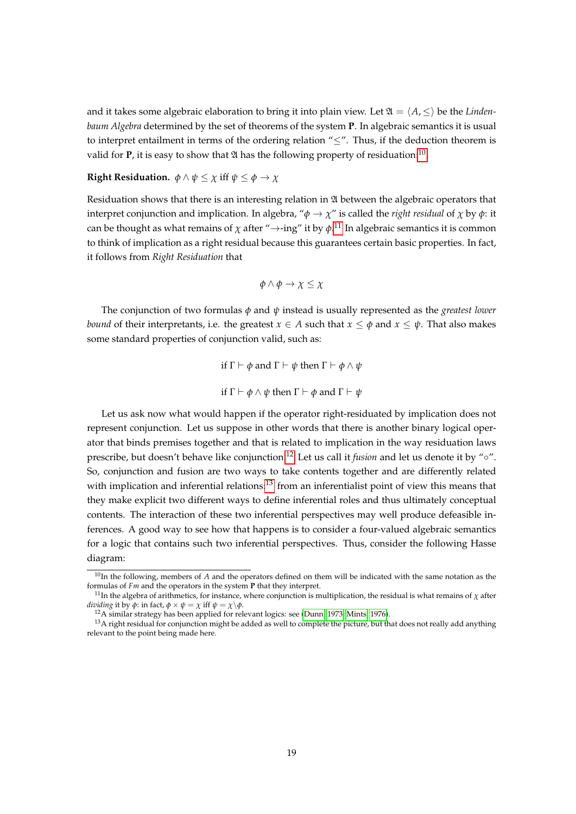and it takes some algebraic elaboration to bring it into plain view. Let  $\mathfrak{A} = \langle A, \leq \rangle$  be the *Lindenbaum Algebra* determined by the set of theorems of the system **P**. In algebraic semantics it is usual to interpret entailment in terms of the ordering relation "≤". Thus, if the deduction theorem is valid for **P**, it is easy to show that  $\mathfrak A$  has the following property of residuation:<sup>[10](#page-0-0)</sup>

#### **Right Residuation.**  $\phi \land \psi \leq \chi$  iff  $\psi \leq \phi \rightarrow \chi$

Residuation shows that there is an interesting relation in  $\mathfrak A$  between the algebraic operators that interpret conjunction and implication. In algebra, " $\phi \rightarrow \chi$ " is called the *right residual* of  $\chi$  by  $\phi$ : it can be thought as what remains of  $\chi$  after " $\rightarrow$ -ing" it by  $\phi$ .<sup>[11](#page-0-0)</sup> In algebraic semantics it is common to think of implication as a right residual because this guarantees certain basic properties. In fact, it follows from *Right Residuation* that

$$
\phi \land \phi \to \chi \leq \chi
$$

The conjunction of two formulas *φ* and *ψ* instead is usually represented as the *greatest lower bound* of their interpretants, i.e. the greatest  $x \in A$  such that  $x \leq \phi$  and  $x \leq \psi$ . That also makes some standard properties of conjunction valid, such as:

> if  $\Gamma \vdash \phi$  and  $\Gamma \vdash \psi$  then  $\Gamma \vdash \phi \land \psi$ if  $Γ$   $\vdash$   $ϕ \land ψ$  then  $Γ$   $\vdash$   $ϕ$  and  $Γ$   $\vdash$   $ψ$

Let us ask now what would happen if the operator right-residuated by implication does not represent conjunction. Let us suppose in other words that there is another binary logical operator that binds premises together and that is related to implication in the way residuation laws prescribe, but doesn't behave like conjunction.<sup>[12](#page-0-0)</sup> Let us call it *fusion* and let us denote it by "∘". So, conjunction and fusion are two ways to take contents together and are differently related with implication and inferential relations:<sup>[13](#page-0-0)</sup> from an inferentialist point of view this means that they make explicit two different ways to define inferential roles and thus ultimately conceptual contents. The interaction of these two inferential perspectives may well produce defeasible inferences. A good way to see how that happens is to consider a four-valued algebraic semantics for a logic that contains such two inferential perspectives. Thus, consider the following Hasse diagram:

 $10$ In the following, members of  $A$  and the operators defined on them will be indicated with the same notation as the formulas of *Fm* and the operators in the system **P** that they interpret.

<sup>&</sup>lt;sup>11</sup>In the algebra of arithmetics, for instance, where conjunction is multiplication, the residual is what remains of  $\chi$  after *dividing* it by  $\phi$ : in fact,  $\phi \times \psi = \chi$  iff  $\psi = \chi \backslash \phi$ .

<sup>12</sup>A similar strategy has been applied for relevant logics: see [\(Dunn, 1973;](#page-23-12) [Mints, 1976\)](#page-23-13).

 $13A$  right residual for conjunction might be added as well to complete the picture, but that does not really add anything relevant to the point being made here.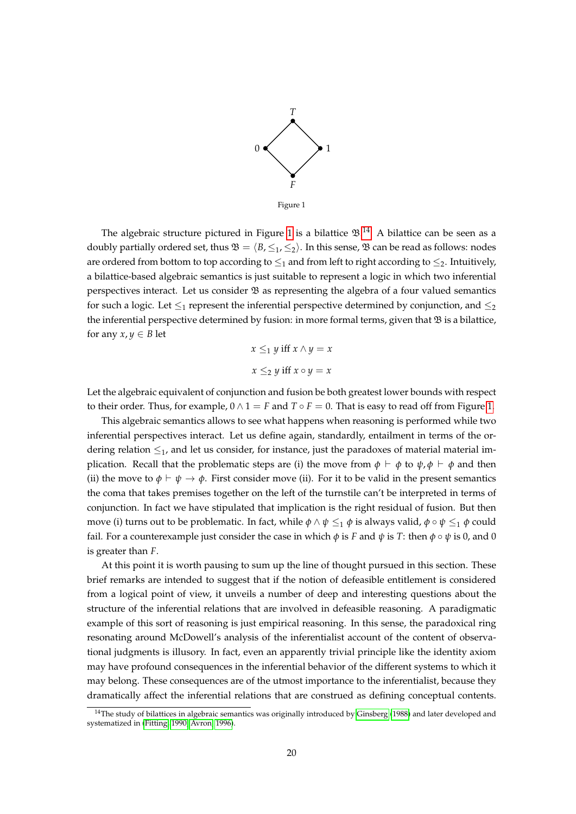

<span id="page-19-0"></span>The algebraic structure pictured in Figure [1](#page-19-0) is a bilattice  $\mathfrak{B}.^{14}$  $\mathfrak{B}.^{14}$  $\mathfrak{B}.^{14}$  A bilattice can be seen as a doubly partially ordered set, thus  $\mathfrak{B} = \langle B, \leq_1, \leq_2 \rangle$ . In this sense,  $\mathfrak{B}$  can be read as follows: nodes are ordered from bottom to top according to  $\leq_1$  and from left to right according to  $\leq_2$ . Intuitively, a bilattice-based algebraic semantics is just suitable to represent a logic in which two inferential perspectives interact. Let us consider  $\mathfrak B$  as representing the algebra of a four valued semantics for such a logic. Let  $\leq_1$  represent the inferential perspective determined by conjunction, and  $\leq_2$ the inferential perspective determined by fusion: in more formal terms, given that  $\mathfrak B$  is a bilattice, for any  $x, y \in B$  let

$$
x \leq_1 y \text{ iff } x \wedge y = x
$$

$$
x \leq_2 y \text{ iff } x \circ y = x
$$

Let the algebraic equivalent of conjunction and fusion be both greatest lower bounds with respect to their order. Thus, for example,  $0 \wedge 1 = F$  and  $T \circ F = 0$ . That is easy to read off from Figure [1.](#page-19-0)

This algebraic semantics allows to see what happens when reasoning is performed while two inferential perspectives interact. Let us define again, standardly, entailment in terms of the ordering relation  $\leq_1$ , and let us consider, for instance, just the paradoxes of material material implication. Recall that the problematic steps are (i) the move from  $\phi \vdash \phi$  to  $\psi, \phi \vdash \phi$  and then (ii) the move to  $\phi \vdash \psi \rightarrow \phi$ . First consider move (ii). For it to be valid in the present semantics the coma that takes premises together on the left of the turnstile can't be interpreted in terms of conjunction. In fact we have stipulated that implication is the right residual of fusion. But then move (i) turns out to be problematic. In fact, while  $\phi \land \psi \leq_1 \phi$  is always valid,  $\phi \circ \psi \leq_1 \phi$  could fail. For a counterexample just consider the case in which  $\phi$  is *F* and  $\psi$  is *T*: then  $\phi \circ \psi$  is 0, and 0 is greater than *F*.

At this point it is worth pausing to sum up the line of thought pursued in this section. These brief remarks are intended to suggest that if the notion of defeasible entitlement is considered from a logical point of view, it unveils a number of deep and interesting questions about the structure of the inferential relations that are involved in defeasible reasoning. A paradigmatic example of this sort of reasoning is just empirical reasoning. In this sense, the paradoxical ring resonating around McDowell's analysis of the inferentialist account of the content of observational judgments is illusory. In fact, even an apparently trivial principle like the identity axiom may have profound consequences in the inferential behavior of the different systems to which it may belong. These consequences are of the utmost importance to the inferentialist, because they dramatically affect the inferential relations that are construed as defining conceptual contents.

<sup>&</sup>lt;sup>14</sup>The study of bilattices in algebraic semantics was originally introduced by [Ginsberg](#page-23-14) [\(1988\)](#page-23-14) and later developed and systematized in [\(Fitting, 1990;](#page-23-15) [Avron, 1996\)](#page-22-4).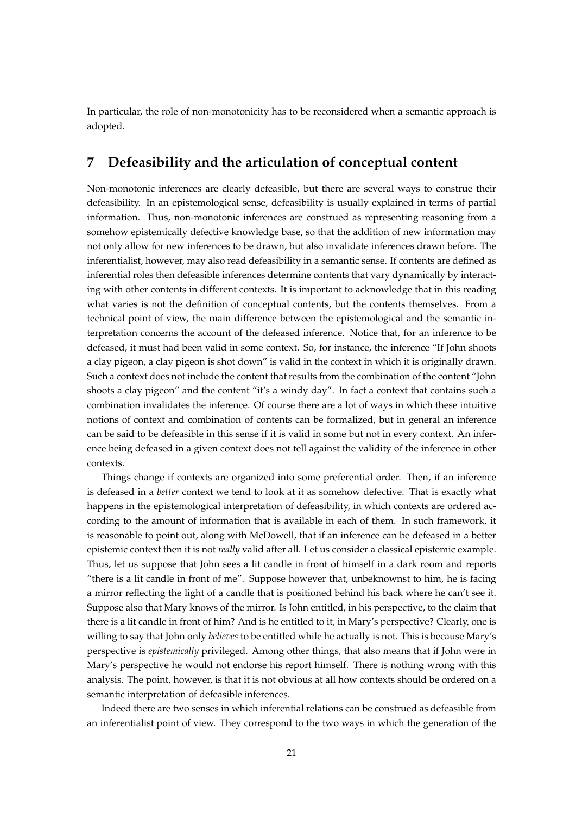In particular, the role of non-monotonicity has to be reconsidered when a semantic approach is adopted.

### **7 Defeasibility and the articulation of conceptual content**

Non-monotonic inferences are clearly defeasible, but there are several ways to construe their defeasibility. In an epistemological sense, defeasibility is usually explained in terms of partial information. Thus, non-monotonic inferences are construed as representing reasoning from a somehow epistemically defective knowledge base, so that the addition of new information may not only allow for new inferences to be drawn, but also invalidate inferences drawn before. The inferentialist, however, may also read defeasibility in a semantic sense. If contents are defined as inferential roles then defeasible inferences determine contents that vary dynamically by interacting with other contents in different contexts. It is important to acknowledge that in this reading what varies is not the definition of conceptual contents, but the contents themselves. From a technical point of view, the main difference between the epistemological and the semantic interpretation concerns the account of the defeased inference. Notice that, for an inference to be defeased, it must had been valid in some context. So, for instance, the inference "If John shoots a clay pigeon, a clay pigeon is shot down" is valid in the context in which it is originally drawn. Such a context does not include the content that results from the combination of the content "John shoots a clay pigeon" and the content "it's a windy day". In fact a context that contains such a combination invalidates the inference. Of course there are a lot of ways in which these intuitive notions of context and combination of contents can be formalized, but in general an inference can be said to be defeasible in this sense if it is valid in some but not in every context. An inference being defeased in a given context does not tell against the validity of the inference in other contexts.

Things change if contexts are organized into some preferential order. Then, if an inference is defeased in a *better* context we tend to look at it as somehow defective. That is exactly what happens in the epistemological interpretation of defeasibility, in which contexts are ordered according to the amount of information that is available in each of them. In such framework, it is reasonable to point out, along with McDowell, that if an inference can be defeased in a better epistemic context then it is not *really* valid after all. Let us consider a classical epistemic example. Thus, let us suppose that John sees a lit candle in front of himself in a dark room and reports "there is a lit candle in front of me". Suppose however that, unbeknownst to him, he is facing a mirror reflecting the light of a candle that is positioned behind his back where he can't see it. Suppose also that Mary knows of the mirror. Is John entitled, in his perspective, to the claim that there is a lit candle in front of him? And is he entitled to it, in Mary's perspective? Clearly, one is willing to say that John only *believes* to be entitled while he actually is not. This is because Mary's perspective is *epistemically* privileged. Among other things, that also means that if John were in Mary's perspective he would not endorse his report himself. There is nothing wrong with this analysis. The point, however, is that it is not obvious at all how contexts should be ordered on a semantic interpretation of defeasible inferences.

Indeed there are two senses in which inferential relations can be construed as defeasible from an inferentialist point of view. They correspond to the two ways in which the generation of the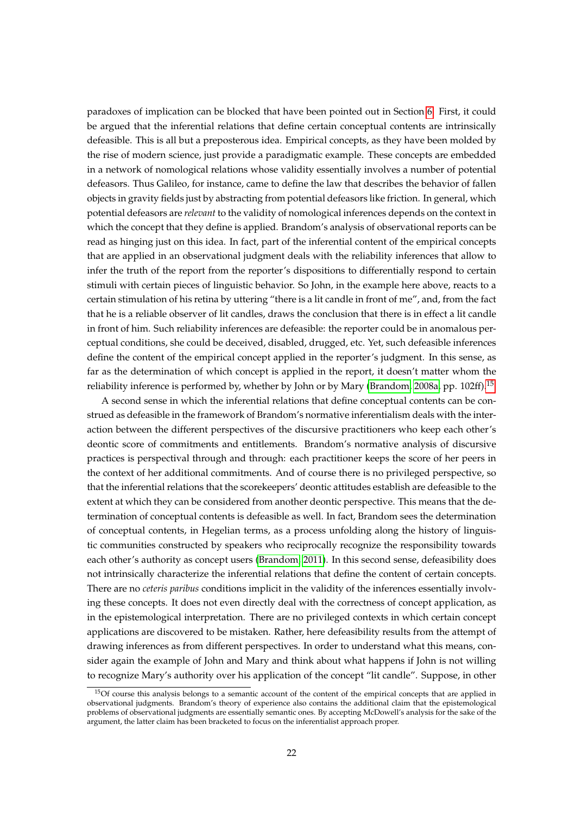paradoxes of implication can be blocked that have been pointed out in Section [6.](#page-16-0) First, it could be argued that the inferential relations that define certain conceptual contents are intrinsically defeasible. This is all but a preposterous idea. Empirical concepts, as they have been molded by the rise of modern science, just provide a paradigmatic example. These concepts are embedded in a network of nomological relations whose validity essentially involves a number of potential defeasors. Thus Galileo, for instance, came to define the law that describes the behavior of fallen objects in gravity fields just by abstracting from potential defeasors like friction. In general, which potential defeasors are *relevant* to the validity of nomological inferences depends on the context in which the concept that they define is applied. Brandom's analysis of observational reports can be read as hinging just on this idea. In fact, part of the inferential content of the empirical concepts that are applied in an observational judgment deals with the reliability inferences that allow to infer the truth of the report from the reporter's dispositions to differentially respond to certain stimuli with certain pieces of linguistic behavior. So John, in the example here above, reacts to a certain stimulation of his retina by uttering "there is a lit candle in front of me", and, from the fact that he is a reliable observer of lit candles, draws the conclusion that there is in effect a lit candle in front of him. Such reliability inferences are defeasible: the reporter could be in anomalous perceptual conditions, she could be deceived, disabled, drugged, etc. Yet, such defeasible inferences define the content of the empirical concept applied in the reporter's judgment. In this sense, as far as the determination of which concept is applied in the report, it doesn't matter whom the reliability inference is performed by, whether by John or by Mary [\(Brandom, 2008a,](#page-23-16) pp. 102ff).<sup>[15](#page-0-0)</sup>

A second sense in which the inferential relations that define conceptual contents can be construed as defeasible in the framework of Brandom's normative inferentialism deals with the interaction between the different perspectives of the discursive practitioners who keep each other's deontic score of commitments and entitlements. Brandom's normative analysis of discursive practices is perspectival through and through: each practitioner keeps the score of her peers in the context of her additional commitments. And of course there is no privileged perspective, so that the inferential relations that the scorekeepers' deontic attitudes establish are defeasible to the extent at which they can be considered from another deontic perspective. This means that the determination of conceptual contents is defeasible as well. In fact, Brandom sees the determination of conceptual contents, in Hegelian terms, as a process unfolding along the history of linguistic communities constructed by speakers who reciprocally recognize the responsibility towards each other's authority as concept users [\(Brandom, 2011\)](#page-23-17). In this second sense, defeasibility does not intrinsically characterize the inferential relations that define the content of certain concepts. There are no *ceteris paribus* conditions implicit in the validity of the inferences essentially involving these concepts. It does not even directly deal with the correctness of concept application, as in the epistemological interpretation. There are no privileged contexts in which certain concept applications are discovered to be mistaken. Rather, here defeasibility results from the attempt of drawing inferences as from different perspectives. In order to understand what this means, consider again the example of John and Mary and think about what happens if John is not willing to recognize Mary's authority over his application of the concept "lit candle". Suppose, in other

<sup>&</sup>lt;sup>15</sup>Of course this analysis belongs to a semantic account of the content of the empirical concepts that are applied in observational judgments. Brandom's theory of experience also contains the additional claim that the epistemological problems of observational judgments are essentially semantic ones. By accepting McDowell's analysis for the sake of the argument, the latter claim has been bracketed to focus on the inferentialist approach proper.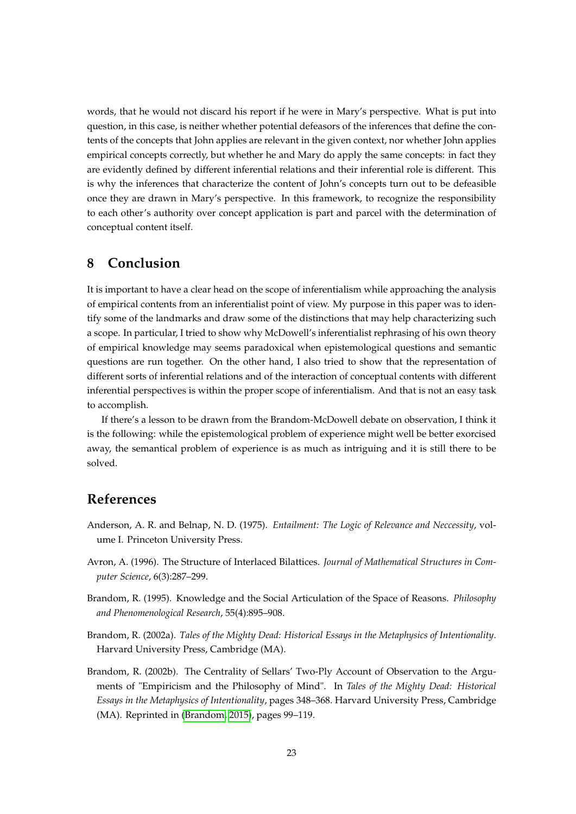words, that he would not discard his report if he were in Mary's perspective. What is put into question, in this case, is neither whether potential defeasors of the inferences that define the contents of the concepts that John applies are relevant in the given context, nor whether John applies empirical concepts correctly, but whether he and Mary do apply the same concepts: in fact they are evidently defined by different inferential relations and their inferential role is different. This is why the inferences that characterize the content of John's concepts turn out to be defeasible once they are drawn in Mary's perspective. In this framework, to recognize the responsibility to each other's authority over concept application is part and parcel with the determination of conceptual content itself.

### **8 Conclusion**

It is important to have a clear head on the scope of inferentialism while approaching the analysis of empirical contents from an inferentialist point of view. My purpose in this paper was to identify some of the landmarks and draw some of the distinctions that may help characterizing such a scope. In particular, I tried to show why McDowell's inferentialist rephrasing of his own theory of empirical knowledge may seems paradoxical when epistemological questions and semantic questions are run together. On the other hand, I also tried to show that the representation of different sorts of inferential relations and of the interaction of conceptual contents with different inferential perspectives is within the proper scope of inferentialism. And that is not an easy task to accomplish.

If there's a lesson to be drawn from the Brandom-McDowell debate on observation, I think it is the following: while the epistemological problem of experience might well be better exorcised away, the semantical problem of experience is as much as intriguing and it is still there to be solved.

#### **References**

- <span id="page-22-3"></span>Anderson, A. R. and Belnap, N. D. (1975). *Entailment: The Logic of Relevance and Neccessity*, volume I. Princeton University Press.
- <span id="page-22-4"></span>Avron, A. (1996). The Structure of Interlaced Bilattices. *Journal of Mathematical Structures in Computer Science*, 6(3):287–299.
- <span id="page-22-1"></span>Brandom, R. (1995). Knowledge and the Social Articulation of the Space of Reasons. *Philosophy and Phenomenological Research*, 55(4):895–908.
- <span id="page-22-2"></span>Brandom, R. (2002a). *Tales of the Mighty Dead: Historical Essays in the Metaphysics of Intentionality*. Harvard University Press, Cambridge (MA).
- <span id="page-22-0"></span>Brandom, R. (2002b). The Centrality of Sellars' Two-Ply Account of Observation to the Arguments of "Empiricism and the Philosophy of Mind". In *Tales of the Mighty Dead: Historical Essays in the Metaphysics of Intentionality*, pages 348–368. Harvard University Press, Cambridge (MA). Reprinted in [\(Brandom, 2015\)](#page-23-18), pages 99–119.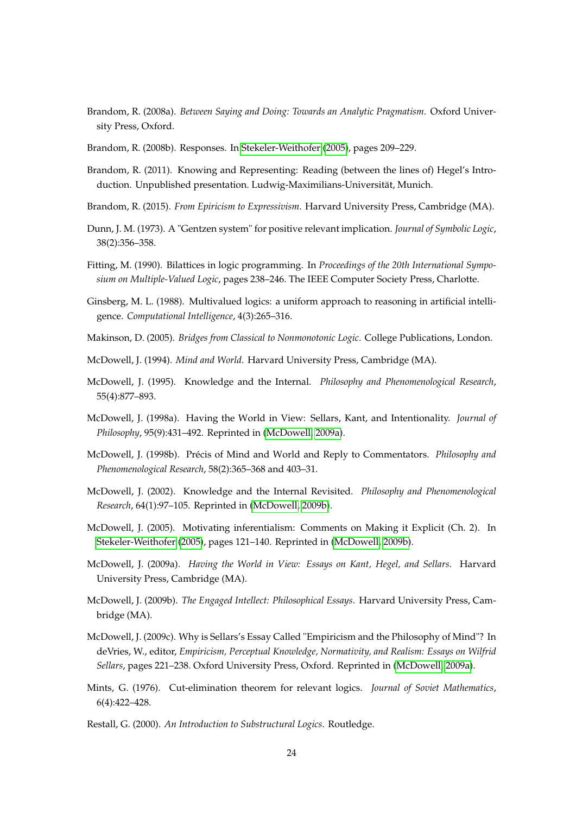- <span id="page-23-16"></span>Brandom, R. (2008a). *Between Saying and Doing: Towards an Analytic Pragmatism*. Oxford University Press, Oxford.
- <span id="page-23-7"></span>Brandom, R. (2008b). Responses. In [Stekeler-Weithofer](#page-24-3) [\(2005\)](#page-24-3), pages 209–229.
- <span id="page-23-17"></span>Brandom, R. (2011). Knowing and Representing: Reading (between the lines of) Hegel's Introduction. Unpublished presentation. Ludwig-Maximilians-Universität, Munich.
- <span id="page-23-18"></span>Brandom, R. (2015). *From Epiricism to Expressivism*. Harvard University Press, Cambridge (MA).
- <span id="page-23-12"></span>Dunn, J. M. (1973). A "Gentzen system" for positive relevant implication. *Journal of Symbolic Logic*, 38(2):356–358.
- <span id="page-23-15"></span>Fitting, M. (1990). Bilattices in logic programming. In *Proceedings of the 20th International Symposium on Multiple-Valued Logic*, pages 238–246. The IEEE Computer Society Press, Charlotte.
- <span id="page-23-14"></span>Ginsberg, M. L. (1988). Multivalued logics: a uniform approach to reasoning in artificial intelligence. *Computational Intelligence*, 4(3):265–316.
- <span id="page-23-11"></span>Makinson, D. (2005). *Bridges from Classical to Nonmonotonic Logic*. College Publications, London.
- <span id="page-23-2"></span>McDowell, J. (1994). *Mind and World*. Harvard University Press, Cambridge (MA).
- <span id="page-23-9"></span>McDowell, J. (1995). Knowledge and the Internal. *Philosophy and Phenomenological Research*, 55(4):877–893.
- <span id="page-23-8"></span>McDowell, J. (1998a). Having the World in View: Sellars, Kant, and Intentionality. *Journal of Philosophy*, 95(9):431–492. Reprinted in [\(McDowell, 2009a\)](#page-23-4).
- <span id="page-23-0"></span>McDowell, J. (1998b). Précis of Mind and World and Reply to Commentators. *Philosophy and Phenomenological Research*, 58(2):365–368 and 403–31.
- <span id="page-23-1"></span>McDowell, J. (2002). Knowledge and the Internal Revisited. *Philosophy and Phenomenological Research*, 64(1):97–105. Reprinted in [\(McDowell, 2009b\)](#page-23-5).
- <span id="page-23-6"></span>McDowell, J. (2005). Motivating inferentialism: Comments on Making it Explicit (Ch. 2). In [Stekeler-Weithofer](#page-24-3) [\(2005\)](#page-24-3), pages 121–140. Reprinted in [\(McDowell, 2009b\)](#page-23-5).
- <span id="page-23-4"></span>McDowell, J. (2009a). *Having the World in View: Essays on Kant, Hegel, and Sellars*. Harvard University Press, Cambridge (MA).
- <span id="page-23-5"></span>McDowell, J. (2009b). *The Engaged Intellect: Philosophical Essays*. Harvard University Press, Cambridge (MA).
- <span id="page-23-3"></span>McDowell, J. (2009c). Why is Sellars's Essay Called "Empiricism and the Philosophy of Mind"? In deVries, W., editor, *Empiricism, Perceptual Knowledge, Normativity, and Realism: Essays on Wilfrid Sellars*, pages 221–238. Oxford University Press, Oxford. Reprinted in [\(McDowell, 2009a\)](#page-23-4).
- <span id="page-23-13"></span>Mints, G. (1976). Cut-elimination theorem for relevant logics. *Journal of Soviet Mathematics*, 6(4):422–428.
- <span id="page-23-10"></span>Restall, G. (2000). *An Introduction to Substructural Logics*. Routledge.